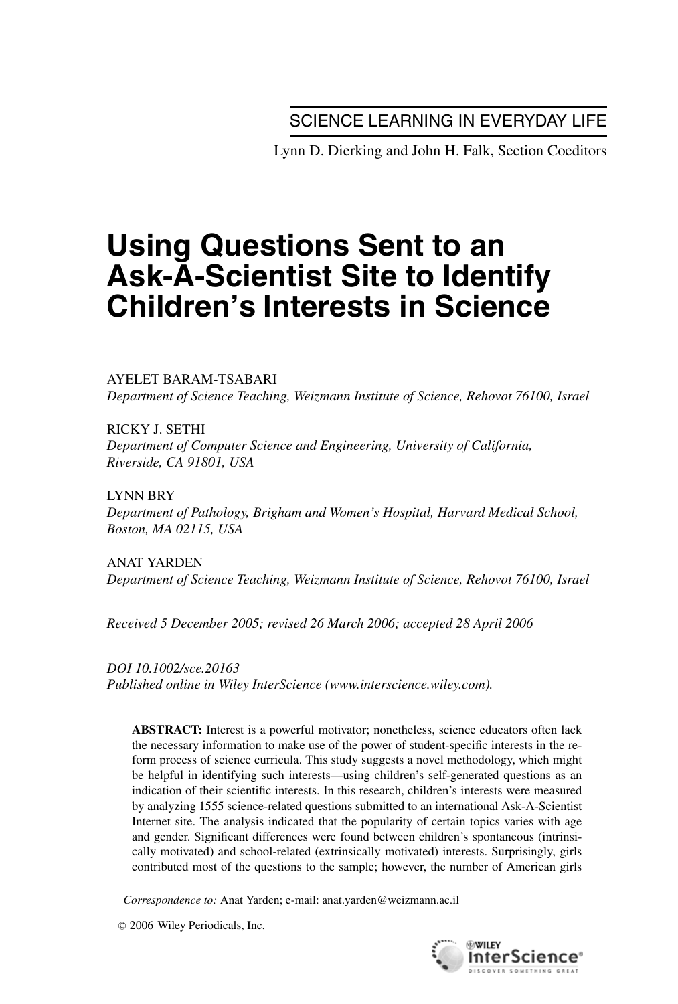# SCIENCE LEARNING IN EVERYDAY LIFE

Lynn D. Dierking and John H. Falk, Section Coeditors

# **Using Questions Sent to an Ask-A-Scientist Site to Identify Children's Interests in Science**

AYELET BARAM-TSABARI *Department of Science Teaching, Weizmann Institute of Science, Rehovot 76100, Israel*

RICKY J. SETHI *Department of Computer Science and Engineering, University of California, Riverside, CA 91801, USA*

LYNN BRY *Department of Pathology, Brigham and Women's Hospital, Harvard Medical School, Boston, MA 02115, USA*

ANAT YARDEN *Department of Science Teaching, Weizmann Institute of Science, Rehovot 76100, Israel*

*Received 5 December 2005; revised 26 March 2006; accepted 28 April 2006*

*DOI 10.1002/sce.20163 Published online in Wiley InterScience (www.interscience.wiley.com).*

**ABSTRACT:** Interest is a powerful motivator; nonetheless, science educators often lack the necessary information to make use of the power of student-specific interests in the reform process of science curricula. This study suggests a novel methodology, which might be helpful in identifying such interests—using children's self-generated questions as an indication of their scientific interests. In this research, children's interests were measured by analyzing 1555 science-related questions submitted to an international Ask-A-Scientist Internet site. The analysis indicated that the popularity of certain topics varies with age and gender. Significant differences were found between children's spontaneous (intrinsically motivated) and school-related (extrinsically motivated) interests. Surprisingly, girls contributed most of the questions to the sample; however, the number of American girls

*Correspondence to:* Anat Yarden; e-mail: anat.yarden@weizmann.ac.il

© 2006 Wiley Periodicals, Inc.

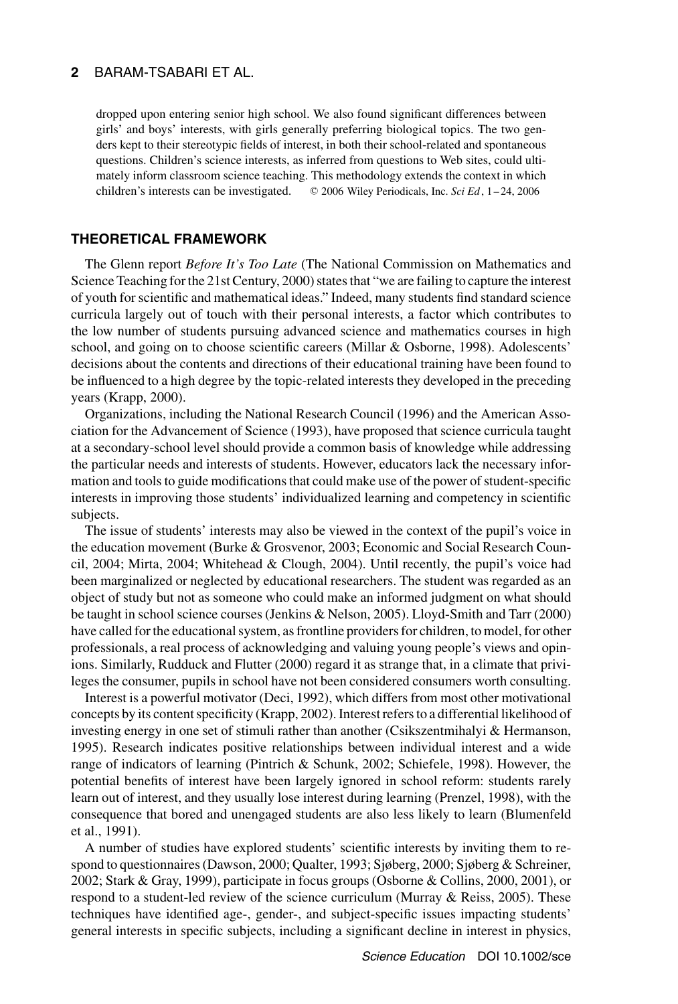dropped upon entering senior high school. We also found significant differences between girls' and boys' interests, with girls generally preferring biological topics. The two genders kept to their stereotypic fields of interest, in both their school-related and spontaneous questions. Children's science interests, as inferred from questions to Web sites, could ultimately inform classroom science teaching. This methodology extends the context in which children's interests can be investigated. -<sup>C</sup> 2006 Wiley Periodicals, Inc. *Sci Ed* , 1 – 24, 2006

### **THEORETICAL FRAMEWORK**

The Glenn report *Before It's Too Late* (The National Commission on Mathematics and Science Teaching for the 21st Century, 2000) states that "we are failing to capture the interest of youth for scientific and mathematical ideas." Indeed, many students find standard science curricula largely out of touch with their personal interests, a factor which contributes to the low number of students pursuing advanced science and mathematics courses in high school, and going on to choose scientific careers (Millar & Osborne, 1998). Adolescents' decisions about the contents and directions of their educational training have been found to be influenced to a high degree by the topic-related interests they developed in the preceding years (Krapp, 2000).

Organizations, including the National Research Council (1996) and the American Association for the Advancement of Science (1993), have proposed that science curricula taught at a secondary-school level should provide a common basis of knowledge while addressing the particular needs and interests of students. However, educators lack the necessary information and tools to guide modifications that could make use of the power of student-specific interests in improving those students' individualized learning and competency in scientific subjects.

The issue of students' interests may also be viewed in the context of the pupil's voice in the education movement (Burke & Grosvenor, 2003; Economic and Social Research Council, 2004; Mirta, 2004; Whitehead & Clough, 2004). Until recently, the pupil's voice had been marginalized or neglected by educational researchers. The student was regarded as an object of study but not as someone who could make an informed judgment on what should be taught in school science courses (Jenkins & Nelson, 2005). Lloyd-Smith and Tarr (2000) have called for the educational system, as frontline providers for children, to model, for other professionals, a real process of acknowledging and valuing young people's views and opinions. Similarly, Rudduck and Flutter (2000) regard it as strange that, in a climate that privileges the consumer, pupils in school have not been considered consumers worth consulting.

Interest is a powerful motivator (Deci, 1992), which differs from most other motivational concepts by its content specificity (Krapp, 2002). Interest refers to a differential likelihood of investing energy in one set of stimuli rather than another (Csikszentmihalyi & Hermanson, 1995). Research indicates positive relationships between individual interest and a wide range of indicators of learning (Pintrich & Schunk, 2002; Schiefele, 1998). However, the potential benefits of interest have been largely ignored in school reform: students rarely learn out of interest, and they usually lose interest during learning (Prenzel, 1998), with the consequence that bored and unengaged students are also less likely to learn (Blumenfeld et al., 1991).

A number of studies have explored students' scientific interests by inviting them to respond to questionnaires (Dawson, 2000; Qualter, 1993; Sjøberg, 2000; Sjøberg & Schreiner, 2002; Stark & Gray, 1999), participate in focus groups (Osborne & Collins, 2000, 2001), or respond to a student-led review of the science curriculum (Murray & Reiss, 2005). These techniques have identified age-, gender-, and subject-specific issues impacting students' general interests in specific subjects, including a significant decline in interest in physics,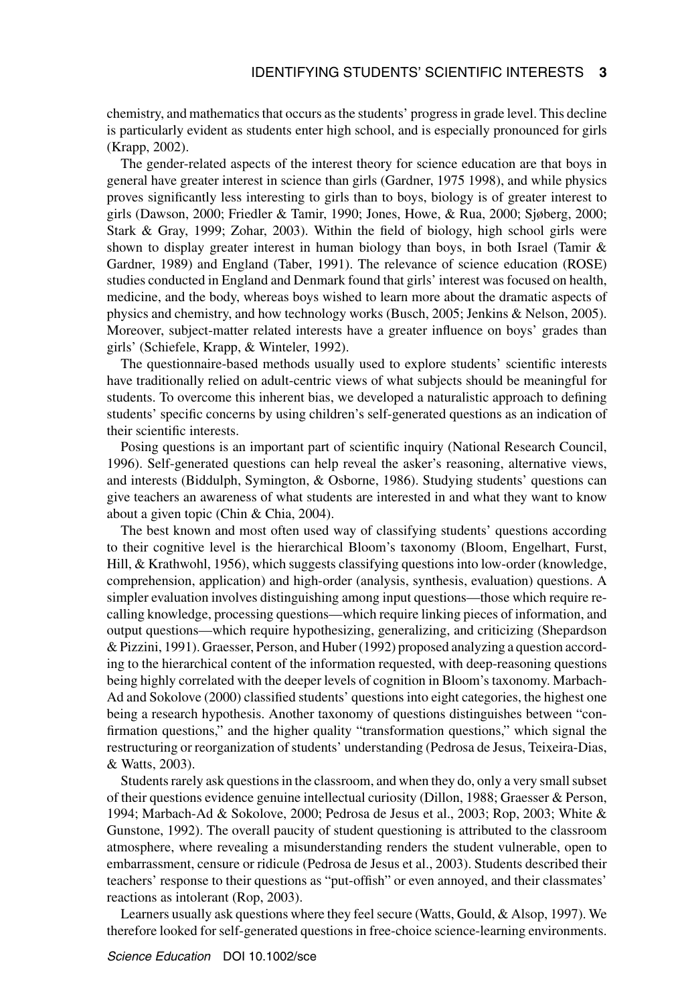chemistry, and mathematics that occurs as the students' progress in grade level. This decline is particularly evident as students enter high school, and is especially pronounced for girls (Krapp, 2002).

The gender-related aspects of the interest theory for science education are that boys in general have greater interest in science than girls (Gardner, 1975 1998), and while physics proves significantly less interesting to girls than to boys, biology is of greater interest to girls (Dawson, 2000; Friedler & Tamir, 1990; Jones, Howe, & Rua, 2000; Sjøberg, 2000; Stark & Gray, 1999; Zohar, 2003). Within the field of biology, high school girls were shown to display greater interest in human biology than boys, in both Israel (Tamir & Gardner, 1989) and England (Taber, 1991). The relevance of science education (ROSE) studies conducted in England and Denmark found that girls' interest was focused on health, medicine, and the body, whereas boys wished to learn more about the dramatic aspects of physics and chemistry, and how technology works (Busch, 2005; Jenkins & Nelson, 2005). Moreover, subject-matter related interests have a greater influence on boys' grades than girls' (Schiefele, Krapp, & Winteler, 1992).

The questionnaire-based methods usually used to explore students' scientific interests have traditionally relied on adult-centric views of what subjects should be meaningful for students. To overcome this inherent bias, we developed a naturalistic approach to defining students' specific concerns by using children's self-generated questions as an indication of their scientific interests.

Posing questions is an important part of scientific inquiry (National Research Council, 1996). Self-generated questions can help reveal the asker's reasoning, alternative views, and interests (Biddulph, Symington, & Osborne, 1986). Studying students' questions can give teachers an awareness of what students are interested in and what they want to know about a given topic (Chin & Chia, 2004).

The best known and most often used way of classifying students' questions according to their cognitive level is the hierarchical Bloom's taxonomy (Bloom, Engelhart, Furst, Hill, & Krathwohl, 1956), which suggests classifying questions into low-order (knowledge, comprehension, application) and high-order (analysis, synthesis, evaluation) questions. A simpler evaluation involves distinguishing among input questions—those which require recalling knowledge, processing questions—which require linking pieces of information, and output questions—which require hypothesizing, generalizing, and criticizing (Shepardson & Pizzini, 1991). Graesser, Person, and Huber (1992) proposed analyzing a question according to the hierarchical content of the information requested, with deep-reasoning questions being highly correlated with the deeper levels of cognition in Bloom's taxonomy. Marbach-Ad and Sokolove (2000) classified students' questions into eight categories, the highest one being a research hypothesis. Another taxonomy of questions distinguishes between "confirmation questions," and the higher quality "transformation questions," which signal the restructuring or reorganization of students' understanding (Pedrosa de Jesus, Teixeira-Dias, & Watts, 2003).

Students rarely ask questions in the classroom, and when they do, only a very small subset of their questions evidence genuine intellectual curiosity (Dillon, 1988; Graesser & Person, 1994; Marbach-Ad & Sokolove, 2000; Pedrosa de Jesus et al., 2003; Rop, 2003; White & Gunstone, 1992). The overall paucity of student questioning is attributed to the classroom atmosphere, where revealing a misunderstanding renders the student vulnerable, open to embarrassment, censure or ridicule (Pedrosa de Jesus et al., 2003). Students described their teachers' response to their questions as "put-offish" or even annoyed, and their classmates' reactions as intolerant (Rop, 2003).

Learners usually ask questions where they feel secure (Watts, Gould, & Alsop, 1997). We therefore looked for self-generated questions in free-choice science-learning environments.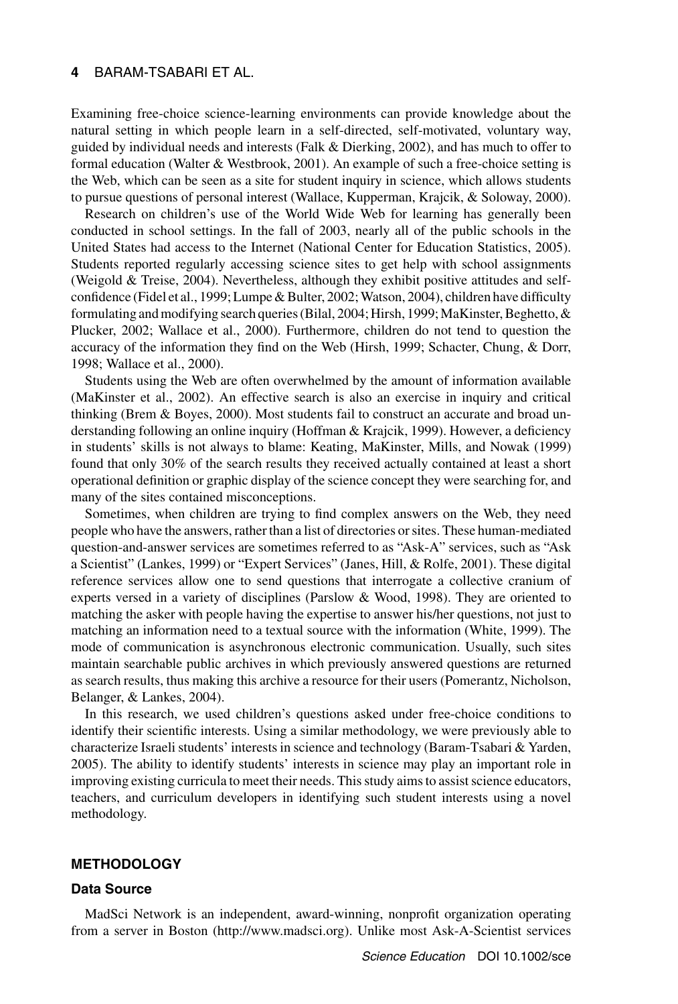Examining free-choice science-learning environments can provide knowledge about the natural setting in which people learn in a self-directed, self-motivated, voluntary way, guided by individual needs and interests (Falk & Dierking, 2002), and has much to offer to formal education (Walter & Westbrook, 2001). An example of such a free-choice setting is the Web, which can be seen as a site for student inquiry in science, which allows students to pursue questions of personal interest (Wallace, Kupperman, Krajcik, & Soloway, 2000).

Research on children's use of the World Wide Web for learning has generally been conducted in school settings. In the fall of 2003, nearly all of the public schools in the United States had access to the Internet (National Center for Education Statistics, 2005). Students reported regularly accessing science sites to get help with school assignments (Weigold & Treise, 2004). Nevertheless, although they exhibit positive attitudes and selfconfidence (Fidel et al., 1999; Lumpe & Bulter, 2002; Watson, 2004), children have difficulty formulating and modifying search queries (Bilal, 2004; Hirsh, 1999; MaKinster, Beghetto, & Plucker, 2002; Wallace et al., 2000). Furthermore, children do not tend to question the accuracy of the information they find on the Web (Hirsh, 1999; Schacter, Chung, & Dorr, 1998; Wallace et al., 2000).

Students using the Web are often overwhelmed by the amount of information available (MaKinster et al., 2002). An effective search is also an exercise in inquiry and critical thinking (Brem & Boyes, 2000). Most students fail to construct an accurate and broad understanding following an online inquiry (Hoffman & Krajcik, 1999). However, a deficiency in students' skills is not always to blame: Keating, MaKinster, Mills, and Nowak (1999) found that only 30% of the search results they received actually contained at least a short operational definition or graphic display of the science concept they were searching for, and many of the sites contained misconceptions.

Sometimes, when children are trying to find complex answers on the Web, they need people who have the answers, rather than a list of directories or sites. These human-mediated question-and-answer services are sometimes referred to as "Ask-A" services, such as "Ask a Scientist" (Lankes, 1999) or "Expert Services" (Janes, Hill, & Rolfe, 2001). These digital reference services allow one to send questions that interrogate a collective cranium of experts versed in a variety of disciplines (Parslow & Wood, 1998). They are oriented to matching the asker with people having the expertise to answer his/her questions, not just to matching an information need to a textual source with the information (White, 1999). The mode of communication is asynchronous electronic communication. Usually, such sites maintain searchable public archives in which previously answered questions are returned as search results, thus making this archive a resource for their users (Pomerantz, Nicholson, Belanger, & Lankes, 2004).

In this research, we used children's questions asked under free-choice conditions to identify their scientific interests. Using a similar methodology, we were previously able to characterize Israeli students' interests in science and technology (Baram-Tsabari & Yarden, 2005). The ability to identify students' interests in science may play an important role in improving existing curricula to meet their needs. This study aims to assist science educators, teachers, and curriculum developers in identifying such student interests using a novel methodology.

## **METHODOLOGY**

#### **Data Source**

MadSci Network is an independent, award-winning, nonprofit organization operating from a server in Boston (http://www.madsci.org). Unlike most Ask-A-Scientist services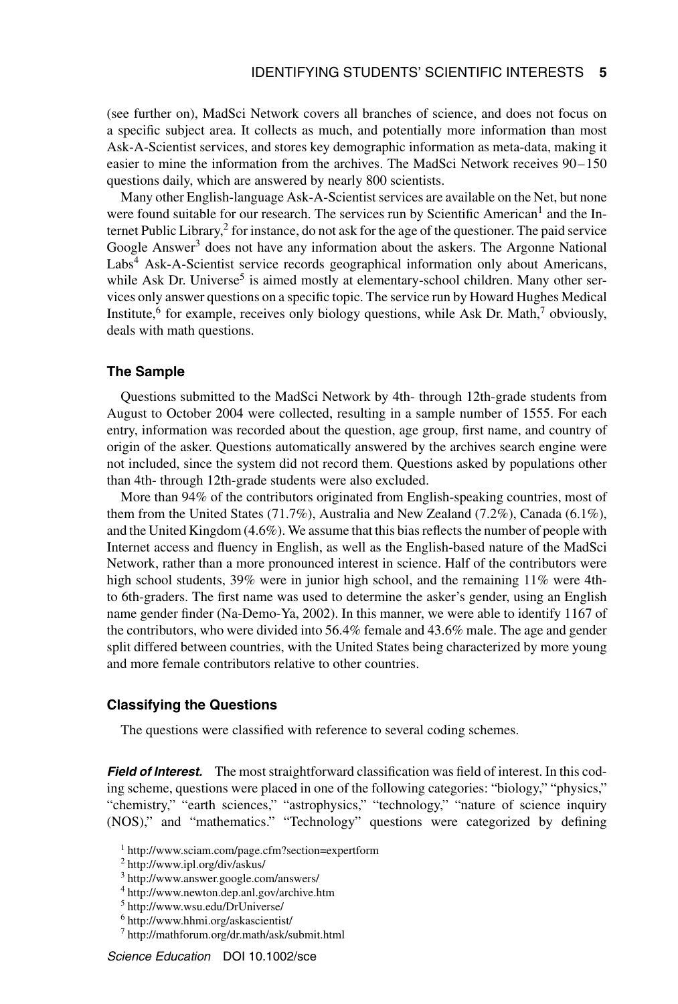(see further on), MadSci Network covers all branches of science, and does not focus on a specific subject area. It collects as much, and potentially more information than most Ask-A-Scientist services, and stores key demographic information as meta-data, making it easier to mine the information from the archives. The MadSci Network receives 90–150 questions daily, which are answered by nearly 800 scientists.

Many other English-language Ask-A-Scientist services are available on the Net, but none were found suitable for our research. The services run by Scientific American<sup>1</sup> and the Internet Public Library, $2$  for instance, do not ask for the age of the questioner. The paid service Google Answer<sup>3</sup> does not have any information about the askers. The Argonne National Labs<sup>4</sup> Ask-A-Scientist service records geographical information only about Americans, while Ask Dr. Universe<sup>5</sup> is aimed mostly at elementary-school children. Many other services only answer questions on a specific topic. The service run by Howard Hughes Medical Institute,<sup>6</sup> for example, receives only biology questions, while Ask Dr. Math, $7$  obviously, deals with math questions.

#### **The Sample**

Questions submitted to the MadSci Network by 4th- through 12th-grade students from August to October 2004 were collected, resulting in a sample number of 1555. For each entry, information was recorded about the question, age group, first name, and country of origin of the asker. Questions automatically answered by the archives search engine were not included, since the system did not record them. Questions asked by populations other than 4th- through 12th-grade students were also excluded.

More than 94% of the contributors originated from English-speaking countries, most of them from the United States (71.7%), Australia and New Zealand (7.2%), Canada (6.1%), and the United Kingdom (4.6%). We assume that this bias reflects the number of people with Internet access and fluency in English, as well as the English-based nature of the MadSci Network, rather than a more pronounced interest in science. Half of the contributors were high school students, 39% were in junior high school, and the remaining 11% were 4thto 6th-graders. The first name was used to determine the asker's gender, using an English name gender finder (Na-Demo-Ya, 2002). In this manner, we were able to identify 1167 of the contributors, who were divided into 56.4% female and 43.6% male. The age and gender split differed between countries, with the United States being characterized by more young and more female contributors relative to other countries.

#### **Classifying the Questions**

The questions were classified with reference to several coding schemes.

*Field of Interest.* The most straightforward classification was field of interest. In this coding scheme, questions were placed in one of the following categories: "biology," "physics," "chemistry," "earth sciences," "astrophysics," "technology," "nature of science inquiry (NOS)," and "mathematics." "Technology" questions were categorized by defining

<sup>1</sup> http://www.sciam.com/page.cfm?section=expertform

<sup>2</sup> http://www.ipl.org/div/askus/

<sup>3</sup> http://www.answer.google.com/answers/

<sup>4</sup> http://www.newton.dep.anl.gov/archive.htm

<sup>5</sup> http://www.wsu.edu/DrUniverse/

<sup>6</sup> http://www.hhmi.org/askascientist/

<sup>7</sup> http://mathforum.org/dr.math/ask/submit.html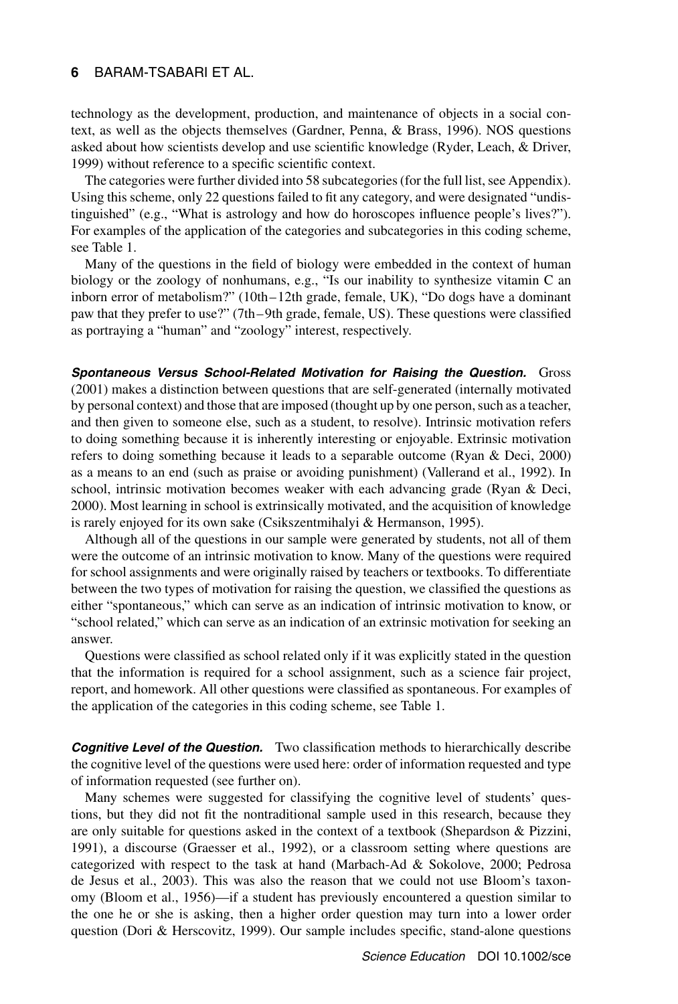technology as the development, production, and maintenance of objects in a social context, as well as the objects themselves (Gardner, Penna, & Brass, 1996). NOS questions asked about how scientists develop and use scientific knowledge (Ryder, Leach, & Driver, 1999) without reference to a specific scientific context.

The categories were further divided into 58 subcategories (for the full list, see Appendix). Using this scheme, only 22 questions failed to fit any category, and were designated "undistinguished" (e.g., "What is astrology and how do horoscopes influence people's lives?"). For examples of the application of the categories and subcategories in this coding scheme, see Table 1.

Many of the questions in the field of biology were embedded in the context of human biology or the zoology of nonhumans, e.g., "Is our inability to synthesize vitamin C an inborn error of metabolism?" (10th–12th grade, female, UK), "Do dogs have a dominant paw that they prefer to use?" (7th–9th grade, female, US). These questions were classified as portraying a "human" and "zoology" interest, respectively.

*Spontaneous Versus School-Related Motivation for Raising the Question.* Gross (2001) makes a distinction between questions that are self-generated (internally motivated by personal context) and those that are imposed (thought up by one person, such as a teacher, and then given to someone else, such as a student, to resolve). Intrinsic motivation refers to doing something because it is inherently interesting or enjoyable. Extrinsic motivation refers to doing something because it leads to a separable outcome (Ryan & Deci, 2000) as a means to an end (such as praise or avoiding punishment) (Vallerand et al., 1992). In school, intrinsic motivation becomes weaker with each advancing grade (Ryan & Deci, 2000). Most learning in school is extrinsically motivated, and the acquisition of knowledge is rarely enjoyed for its own sake (Csikszentmihalyi & Hermanson, 1995).

Although all of the questions in our sample were generated by students, not all of them were the outcome of an intrinsic motivation to know. Many of the questions were required for school assignments and were originally raised by teachers or textbooks. To differentiate between the two types of motivation for raising the question, we classified the questions as either "spontaneous," which can serve as an indication of intrinsic motivation to know, or "school related," which can serve as an indication of an extrinsic motivation for seeking an answer.

Questions were classified as school related only if it was explicitly stated in the question that the information is required for a school assignment, such as a science fair project, report, and homework. All other questions were classified as spontaneous. For examples of the application of the categories in this coding scheme, see Table 1.

*Cognitive Level of the Question.* Two classification methods to hierarchically describe the cognitive level of the questions were used here: order of information requested and type of information requested (see further on).

Many schemes were suggested for classifying the cognitive level of students' questions, but they did not fit the nontraditional sample used in this research, because they are only suitable for questions asked in the context of a textbook (Shepardson & Pizzini, 1991), a discourse (Graesser et al., 1992), or a classroom setting where questions are categorized with respect to the task at hand (Marbach-Ad & Sokolove, 2000; Pedrosa de Jesus et al., 2003). This was also the reason that we could not use Bloom's taxonomy (Bloom et al., 1956)—if a student has previously encountered a question similar to the one he or she is asking, then a higher order question may turn into a lower order question (Dori & Herscovitz, 1999). Our sample includes specific, stand-alone questions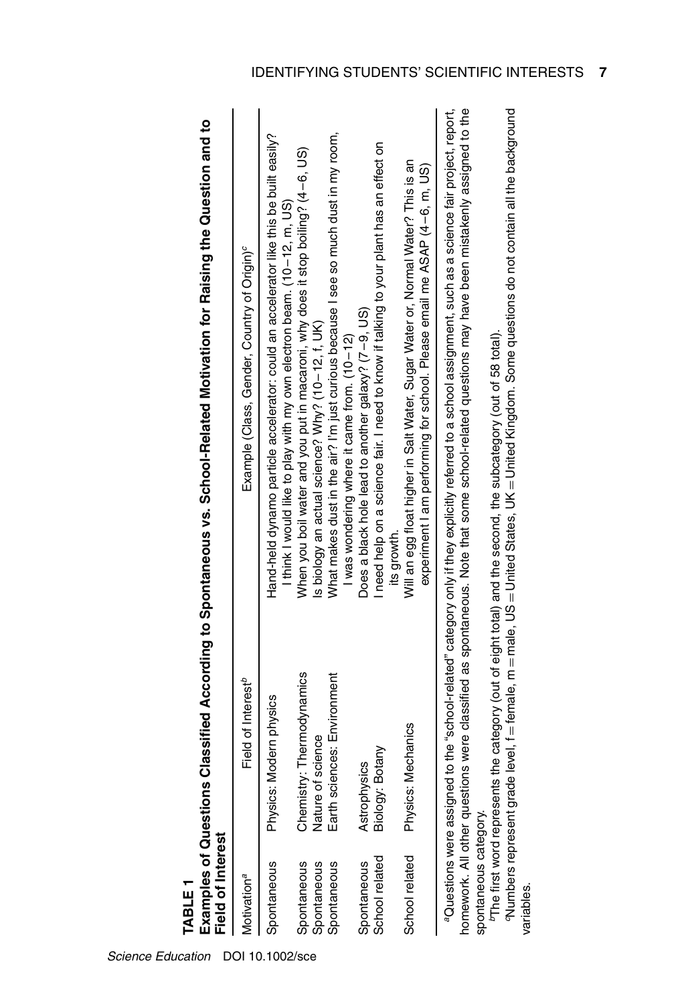Examples of Questions Classified According to Spontaneous vs. School-Related Motivation for Raising the Question and to<br>Field of Interest Examples of Questions Classified According to Spontaneous vs. School-Related Motivation for Raising the Question and to **Field of Interest** TABLE<sub>1</sub> **TABLE 1**

| がるこう こうこう                  |                                                |                                                                                                                                                                                                                                                                           |
|----------------------------|------------------------------------------------|---------------------------------------------------------------------------------------------------------------------------------------------------------------------------------------------------------------------------------------------------------------------------|
| Motivation <sup>a</sup>    | Field of Interest <sup>b</sup>                 | Example (Class, Gender, Country of Origin) <sup>c</sup>                                                                                                                                                                                                                   |
| Spontaneous                | Physics: Modern physics                        | Hand-held dynamo particle accelerator: could an accelerator like this be built easily?<br>I think I would like to play with my own electron beam. (10-12, m, US)                                                                                                          |
| Spontaneous<br>Spontaneous | Chemistry: Thermodynamics<br>Nature of science | When you boil water and you put in macaroni, why does it stop boiling? (4-6, US)<br>Is biology an actual science? Why? (10-12, f, UK)                                                                                                                                     |
| Spontaneous                | Earth sciences: Environment                    | What makes dust in the air? I'm just curious because I see so much dust in my room,                                                                                                                                                                                       |
| Spontaneous                | Astrophysics                                   | Does a black hole lead to another galaxy? (7-9, US)<br>I was wondering where it came from. (10-12)                                                                                                                                                                        |
| School related             | Biology: Botany                                | I need help on a science fair. I need to know if talking to your plant has an effect on<br>its growth                                                                                                                                                                     |
| School related             | Physics: Mechanics                             | Will an egg float higher in Salt Water, Sugar Water or, Normal Water? This is an<br>experiment I am performing for school. Please email me ASAP (4-6, m, US)                                                                                                              |
| spontaneous category.      | homework. All other questions were             | classified as spontaneous. Note that some school-related questions may have been mistakenly assigned to the<br>aQuestions were assigned to the "school-related" category only if they explicitly referred to a school assignment, such as a science fair project, report, |
| variables.                 |                                                | "Numbers represent grade level, f = female, m = male, US = United States, UK = United Kingdom. Some questions do not contain all the background<br>$^{p}$ The first word represents the category (out of eight total) and the second, the subcategory (out of 58 total).  |
|                            |                                                |                                                                                                                                                                                                                                                                           |

IDENTIFYING STUDENTS' SCIENTIFIC INTERESTS **7**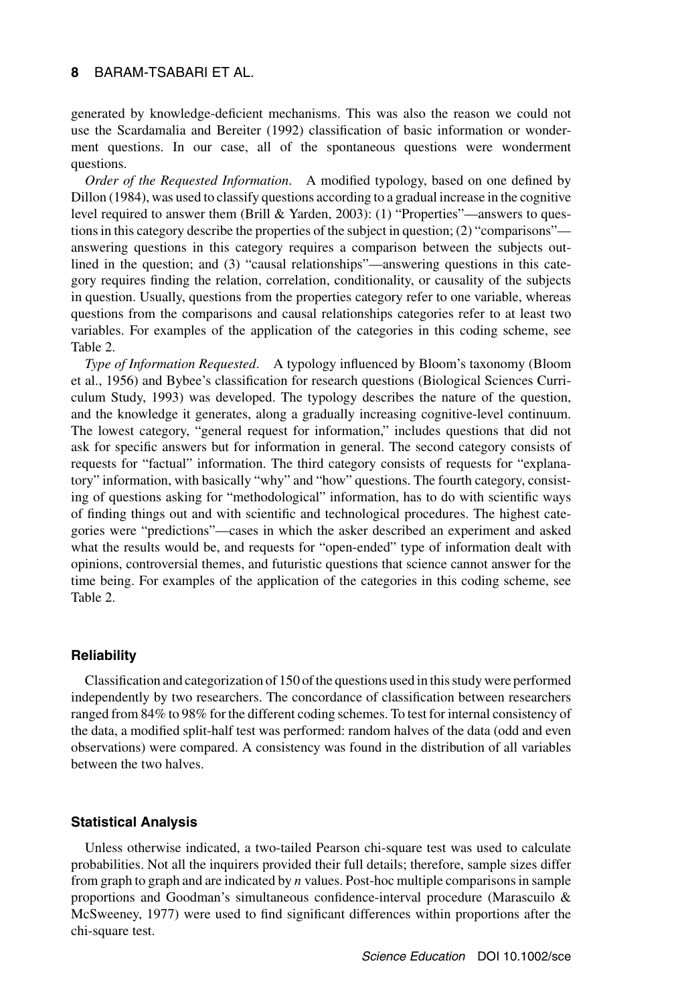generated by knowledge-deficient mechanisms. This was also the reason we could not use the Scardamalia and Bereiter (1992) classification of basic information or wonderment questions. In our case, all of the spontaneous questions were wonderment questions.

*Order of the Requested Information*. A modified typology, based on one defined by Dillon (1984), was used to classify questions according to a gradual increase in the cognitive level required to answer them (Brill & Yarden, 2003): (1) "Properties"—answers to questions in this category describe the properties of the subject in question; (2) "comparisons" answering questions in this category requires a comparison between the subjects outlined in the question; and (3) "causal relationships"—answering questions in this category requires finding the relation, correlation, conditionality, or causality of the subjects in question. Usually, questions from the properties category refer to one variable, whereas questions from the comparisons and causal relationships categories refer to at least two variables. For examples of the application of the categories in this coding scheme, see Table 2.

*Type of Information Requested*. A typology influenced by Bloom's taxonomy (Bloom et al., 1956) and Bybee's classification for research questions (Biological Sciences Curriculum Study, 1993) was developed. The typology describes the nature of the question, and the knowledge it generates, along a gradually increasing cognitive-level continuum. The lowest category, "general request for information," includes questions that did not ask for specific answers but for information in general. The second category consists of requests for "factual" information. The third category consists of requests for "explanatory" information, with basically "why" and "how" questions. The fourth category, consisting of questions asking for "methodological" information, has to do with scientific ways of finding things out and with scientific and technological procedures. The highest categories were "predictions"—cases in which the asker described an experiment and asked what the results would be, and requests for "open-ended" type of information dealt with opinions, controversial themes, and futuristic questions that science cannot answer for the time being. For examples of the application of the categories in this coding scheme, see Table 2.

### **Reliability**

Classification and categorization of 150 of the questions used in this study were performed independently by two researchers. The concordance of classification between researchers ranged from 84% to 98% for the different coding schemes. To test for internal consistency of the data, a modified split-half test was performed: random halves of the data (odd and even observations) were compared. A consistency was found in the distribution of all variables between the two halves.

#### **Statistical Analysis**

Unless otherwise indicated, a two-tailed Pearson chi-square test was used to calculate probabilities. Not all the inquirers provided their full details; therefore, sample sizes differ from graph to graph and are indicated by *n* values. Post-hoc multiple comparisons in sample proportions and Goodman's simultaneous confidence-interval procedure (Marascuilo & McSweeney, 1977) were used to find significant differences within proportions after the chi-square test.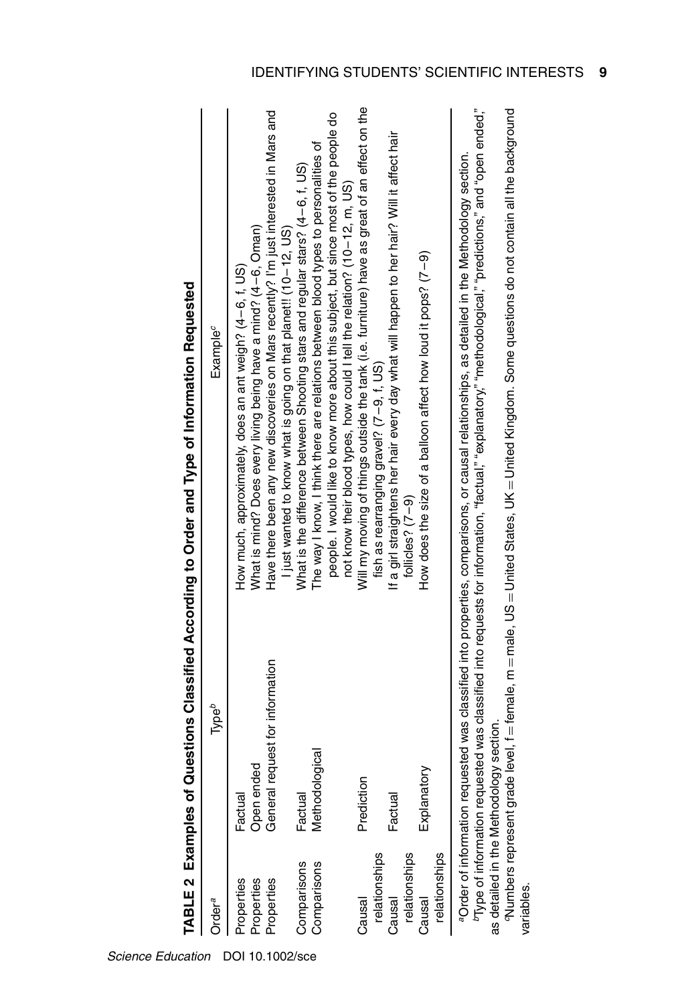| <b>Order<sup>a</sup></b> | Type <sup>b</sup>                      | Example <sup>c</sup>                                                                                                                                                                                                                                                                                        |
|--------------------------|----------------------------------------|-------------------------------------------------------------------------------------------------------------------------------------------------------------------------------------------------------------------------------------------------------------------------------------------------------------|
| Properties               | Factual                                | How much, approximately, does an ant weigh? (4-6, f, US)                                                                                                                                                                                                                                                    |
| Properties               | Open ended                             | What is mind? Does every living being have a mind? (4-6, Oman)                                                                                                                                                                                                                                              |
| Properties               | General request for information        | Have there been any new discoveries on Mars recently? I'm just interested in Mars and                                                                                                                                                                                                                       |
| Comparisons              | Factual                                | What is the difference between Shooting stars and regular stars? (4-6, f, US)<br>liust wanted to know what is going on that planet!! (10-12, US)                                                                                                                                                            |
| Comparisons              | Methodological                         | The way I know, I think there are relations between blood types to personalities of                                                                                                                                                                                                                         |
|                          |                                        | people. I would like to know more about this subject, but since most of the people do                                                                                                                                                                                                                       |
| Causal                   | Prediction                             | Will my moving of things outside the tank (i.e. furniture) have as great of an effect on the<br>not know their blood types, how could I tell the relation? (10-12, m, US)                                                                                                                                   |
| relationships            |                                        | fish as rearranging gravel? (7-9, f, US)                                                                                                                                                                                                                                                                    |
| Causal                   | Factual                                | If a girl straightens her hair every day what will happen to her hair? Will it affect hair                                                                                                                                                                                                                  |
| relationships            |                                        | follicles? $(7-9)$                                                                                                                                                                                                                                                                                          |
| Causal                   | Explanatory                            | How does the size of a balloon affect how loud it pops? (7-9)                                                                                                                                                                                                                                               |
| relationships            |                                        |                                                                                                                                                                                                                                                                                                             |
|                          | as detailed in the Methodology section | "Type of information requested was classified into requests for information, "factual," "explanatory," "methodological," "predictions," and "open ended,"<br>a Order of information requested was classified into properties, comparisons, or causal relationships, as detailed in the Methodology section. |
| variables.               |                                        | $\mathbb N$ umbers represent grade level, f = female, $\mathfrak m$ = male, US = United States, UK = United Kingdom. Some questions do not contain all the background                                                                                                                                       |
|                          |                                        |                                                                                                                                                                                                                                                                                                             |

TARI F 2 Evamples of Questions Classified According to Order and Type of Information Requested TABLE 2 Examples of Questions Classified According to Order and Type of Information Requested

*Science Education* DOI 10.1002/sce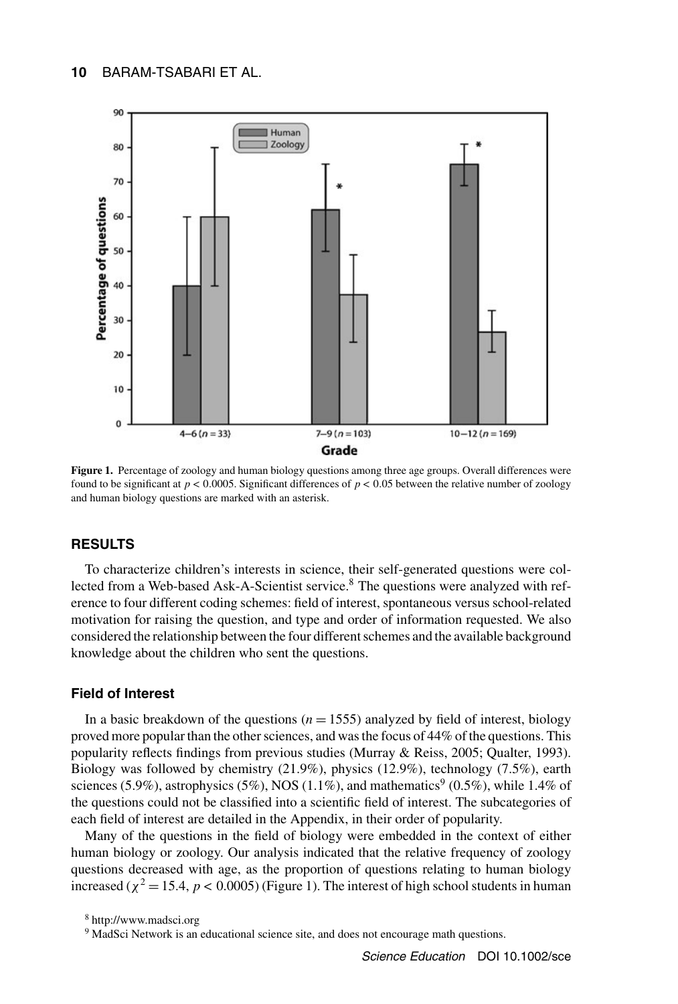

**Figure 1.** Percentage of zoology and human biology questions among three age groups. Overall differences were found to be significant at  $p < 0.0005$ . Significant differences of  $p < 0.05$  between the relative number of zoology and human biology questions are marked with an asterisk.

## **RESULTS**

To characterize children's interests in science, their self-generated questions were collected from a Web-based Ask-A-Scientist service.<sup>8</sup> The questions were analyzed with reference to four different coding schemes: field of interest, spontaneous versus school-related motivation for raising the question, and type and order of information requested. We also considered the relationship between the four different schemes and the available background knowledge about the children who sent the questions.

#### **Field of Interest**

In a basic breakdown of the questions  $(n = 1555)$  analyzed by field of interest, biology proved more popular than the other sciences, and was the focus of 44% of the questions. This popularity reflects findings from previous studies (Murray & Reiss, 2005; Qualter, 1993). Biology was followed by chemistry (21.9%), physics (12.9%), technology (7.5%), earth sciences (5.9%), astrophysics (5%), NOS (1.1%), and mathematics<sup>9</sup> (0.5%), while 1.4% of the questions could not be classified into a scientific field of interest. The subcategories of each field of interest are detailed in the Appendix, in their order of popularity.

Many of the questions in the field of biology were embedded in the context of either human biology or zoology. Our analysis indicated that the relative frequency of zoology questions decreased with age, as the proportion of questions relating to human biology increased ( $\chi^2$  = 15.4,  $p$  < 0.0005) (Figure 1). The interest of high school students in human

<sup>8</sup> http://www.madsci.org

<sup>&</sup>lt;sup>9</sup> MadSci Network is an educational science site, and does not encourage math questions.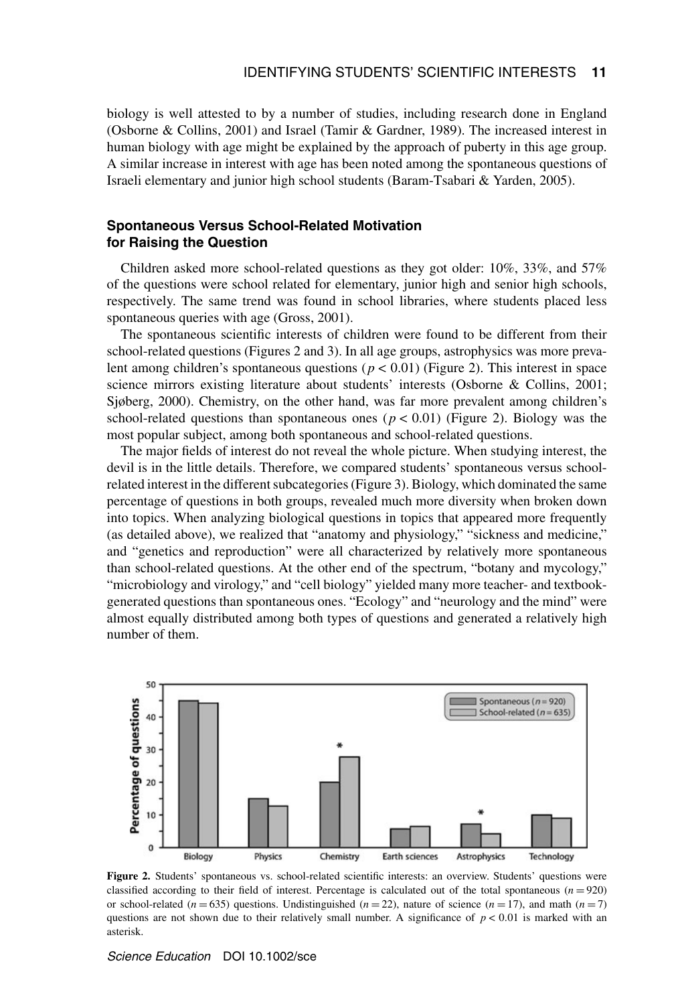biology is well attested to by a number of studies, including research done in England (Osborne & Collins, 2001) and Israel (Tamir & Gardner, 1989). The increased interest in human biology with age might be explained by the approach of puberty in this age group. A similar increase in interest with age has been noted among the spontaneous questions of Israeli elementary and junior high school students (Baram-Tsabari & Yarden, 2005).

#### **Spontaneous Versus School-Related Motivation for Raising the Question**

Children asked more school-related questions as they got older: 10%, 33%, and 57% of the questions were school related for elementary, junior high and senior high schools, respectively. The same trend was found in school libraries, where students placed less spontaneous queries with age (Gross, 2001).

The spontaneous scientific interests of children were found to be different from their school-related questions (Figures 2 and 3). In all age groups, astrophysics was more prevalent among children's spontaneous questions (*p <* 0.01) (Figure 2). This interest in space science mirrors existing literature about students' interests (Osborne & Collins, 2001; Sjøberg, 2000). Chemistry, on the other hand, was far more prevalent among children's school-related questions than spontaneous ones  $(p < 0.01)$  (Figure 2). Biology was the most popular subject, among both spontaneous and school-related questions.

The major fields of interest do not reveal the whole picture. When studying interest, the devil is in the little details. Therefore, we compared students' spontaneous versus schoolrelated interest in the different subcategories (Figure 3). Biology, which dominated the same percentage of questions in both groups, revealed much more diversity when broken down into topics. When analyzing biological questions in topics that appeared more frequently (as detailed above), we realized that "anatomy and physiology," "sickness and medicine," and "genetics and reproduction" were all characterized by relatively more spontaneous than school-related questions. At the other end of the spectrum, "botany and mycology," "microbiology and virology," and "cell biology" yielded many more teacher- and textbookgenerated questions than spontaneous ones. "Ecology" and "neurology and the mind" were almost equally distributed among both types of questions and generated a relatively high number of them.



**Figure 2.** Students' spontaneous vs. school-related scientific interests: an overview. Students' questions were classified according to their field of interest. Percentage is calculated out of the total spontaneous  $(n = 920)$ or school-related ( $n = 635$ ) questions. Undistinguished ( $n = 22$ ), nature of science ( $n = 17$ ), and math ( $n = 7$ ) questions are not shown due to their relatively small number. A significance of  $p < 0.01$  is marked with an asterisk.

*Science Education* DOI 10.1002/sce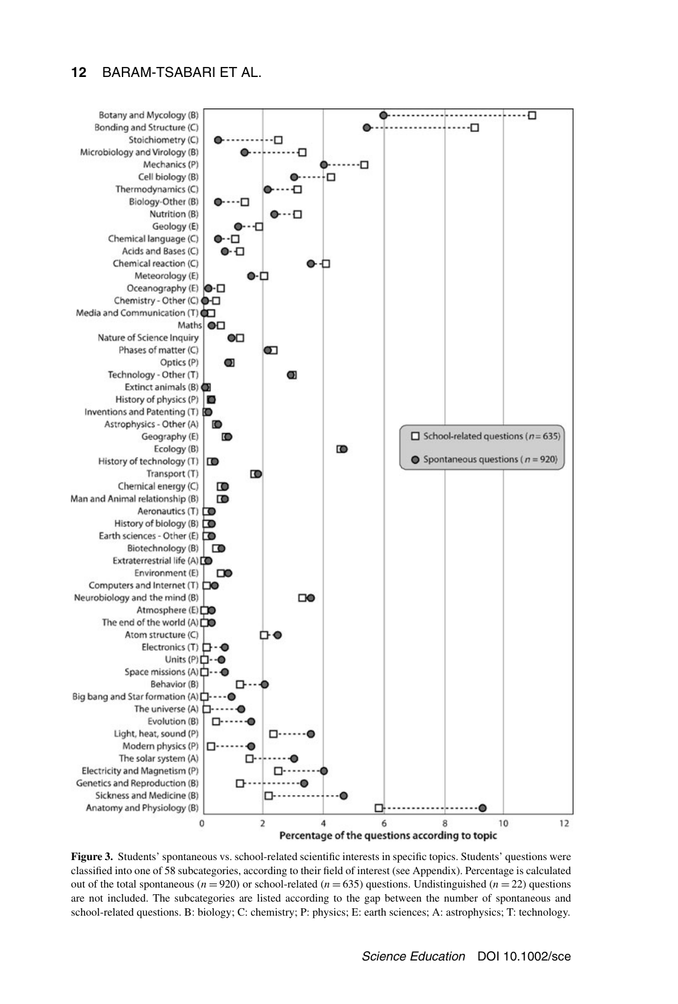

**Figure 3.** Students' spontaneous vs. school-related scientific interests in specific topics. Students' questions were classified into one of 58 subcategories, according to their field of interest (see Appendix). Percentage is calculated out of the total spontaneous ( $n = 920$ ) or school-related ( $n = 635$ ) questions. Undistinguished ( $n = 22$ ) questions are not included. The subcategories are listed according to the gap between the number of spontaneous and school-related questions. B: biology; C: chemistry; P: physics; E: earth sciences; A: astrophysics; T: technology.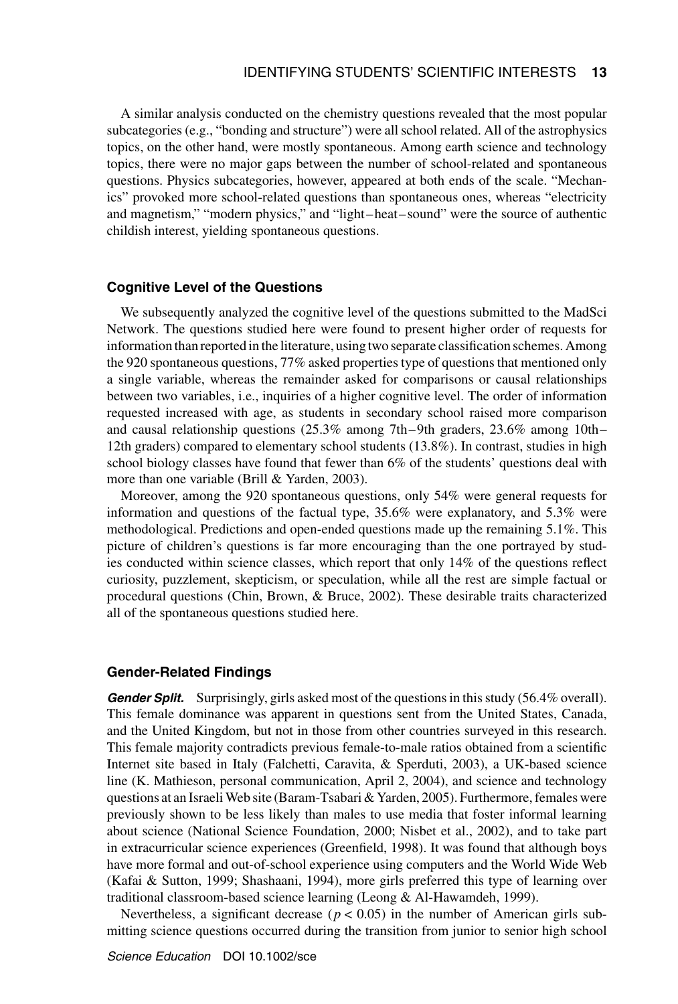A similar analysis conducted on the chemistry questions revealed that the most popular subcategories (e.g., "bonding and structure") were all school related. All of the astrophysics topics, on the other hand, were mostly spontaneous. Among earth science and technology topics, there were no major gaps between the number of school-related and spontaneous questions. Physics subcategories, however, appeared at both ends of the scale. "Mechanics" provoked more school-related questions than spontaneous ones, whereas "electricity and magnetism," "modern physics," and "light–heat–sound" were the source of authentic childish interest, yielding spontaneous questions.

#### **Cognitive Level of the Questions**

We subsequently analyzed the cognitive level of the questions submitted to the MadSci Network. The questions studied here were found to present higher order of requests for information than reported in the literature, using two separate classification schemes. Among the 920 spontaneous questions, 77% asked properties type of questions that mentioned only a single variable, whereas the remainder asked for comparisons or causal relationships between two variables, i.e., inquiries of a higher cognitive level. The order of information requested increased with age, as students in secondary school raised more comparison and causal relationship questions (25.3% among 7th–9th graders, 23.6% among 10th– 12th graders) compared to elementary school students (13.8%). In contrast, studies in high school biology classes have found that fewer than 6% of the students' questions deal with more than one variable (Brill & Yarden, 2003).

Moreover, among the 920 spontaneous questions, only 54% were general requests for information and questions of the factual type, 35.6% were explanatory, and 5.3% were methodological. Predictions and open-ended questions made up the remaining 5.1%. This picture of children's questions is far more encouraging than the one portrayed by studies conducted within science classes, which report that only 14% of the questions reflect curiosity, puzzlement, skepticism, or speculation, while all the rest are simple factual or procedural questions (Chin, Brown, & Bruce, 2002). These desirable traits characterized all of the spontaneous questions studied here.

#### **Gender-Related Findings**

**Gender Split.** Surprisingly, girls asked most of the questions in this study (56.4% overall). This female dominance was apparent in questions sent from the United States, Canada, and the United Kingdom, but not in those from other countries surveyed in this research. This female majority contradicts previous female-to-male ratios obtained from a scientific Internet site based in Italy (Falchetti, Caravita, & Sperduti, 2003), a UK-based science line (K. Mathieson, personal communication, April 2, 2004), and science and technology questions at an Israeli Web site (Baram-Tsabari & Yarden, 2005). Furthermore, females were previously shown to be less likely than males to use media that foster informal learning about science (National Science Foundation, 2000; Nisbet et al., 2002), and to take part in extracurricular science experiences (Greenfield, 1998). It was found that although boys have more formal and out-of-school experience using computers and the World Wide Web (Kafai & Sutton, 1999; Shashaani, 1994), more girls preferred this type of learning over traditional classroom-based science learning (Leong & Al-Hawamdeh, 1999).

Nevertheless, a significant decrease ( $p < 0.05$ ) in the number of American girls submitting science questions occurred during the transition from junior to senior high school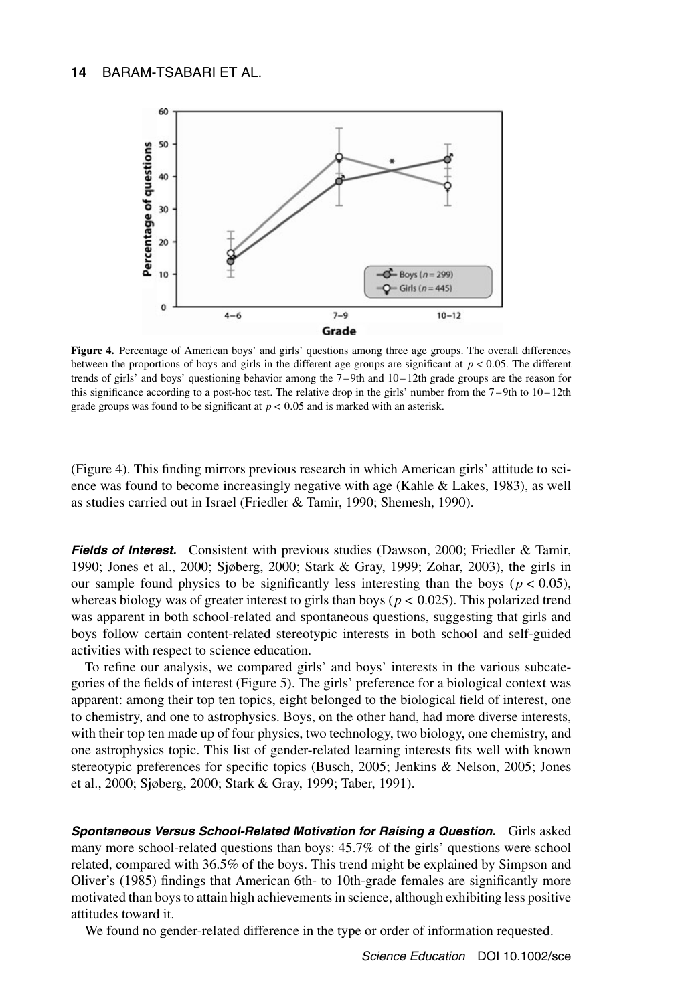

**Figure 4.** Percentage of American boys' and girls' questions among three age groups. The overall differences between the proportions of boys and girls in the different age groups are significant at *p <* 0.05. The different trends of girls' and boys' questioning behavior among the 7 – 9th and 10 – 12th grade groups are the reason for this significance according to a post-hoc test. The relative drop in the girls' number from the 7 – 9th to 10 – 12th grade groups was found to be significant at *p <* 0.05 and is marked with an asterisk.

(Figure 4). This finding mirrors previous research in which American girls' attitude to science was found to become increasingly negative with age (Kahle & Lakes, 1983), as well as studies carried out in Israel (Friedler & Tamir, 1990; Shemesh, 1990).

*Fields of Interest.* Consistent with previous studies (Dawson, 2000; Friedler & Tamir, 1990; Jones et al., 2000; Sjøberg, 2000; Stark & Gray, 1999; Zohar, 2003), the girls in our sample found physics to be significantly less interesting than the boys ( $p < 0.05$ ), whereas biology was of greater interest to girls than boys (*p <* 0.025). This polarized trend was apparent in both school-related and spontaneous questions, suggesting that girls and boys follow certain content-related stereotypic interests in both school and self-guided activities with respect to science education.

To refine our analysis, we compared girls' and boys' interests in the various subcategories of the fields of interest (Figure 5). The girls' preference for a biological context was apparent: among their top ten topics, eight belonged to the biological field of interest, one to chemistry, and one to astrophysics. Boys, on the other hand, had more diverse interests, with their top ten made up of four physics, two technology, two biology, one chemistry, and one astrophysics topic. This list of gender-related learning interests fits well with known stereotypic preferences for specific topics (Busch, 2005; Jenkins & Nelson, 2005; Jones et al., 2000; Sjøberg, 2000; Stark & Gray, 1999; Taber, 1991).

*Spontaneous Versus School-Related Motivation for Raising a Question.* Girls asked many more school-related questions than boys: 45.7% of the girls' questions were school related, compared with 36.5% of the boys. This trend might be explained by Simpson and Oliver's (1985) findings that American 6th- to 10th-grade females are significantly more motivated than boys to attain high achievements in science, although exhibiting less positive attitudes toward it.

We found no gender-related difference in the type or order of information requested.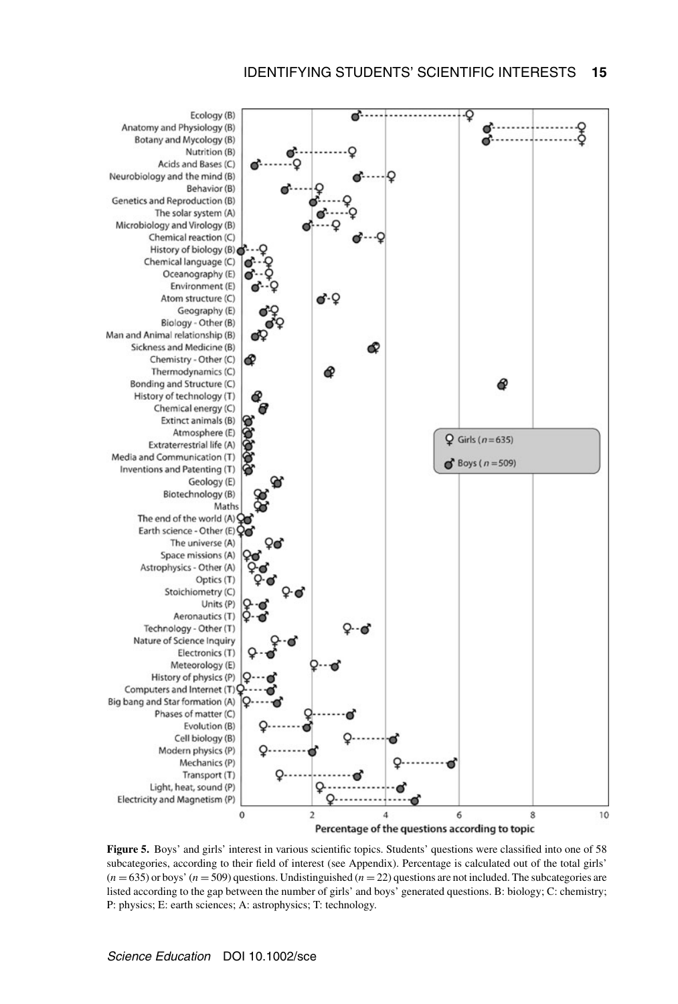

**Figure 5.** Boys' and girls' interest in various scientific topics. Students' questions were classified into one of 58 subcategories, according to their field of interest (see Appendix). Percentage is calculated out of the total girls'  $(n = 635)$  or boys'  $(n = 509)$  questions. Undistinguished  $(n = 22)$  questions are not included. The subcategories are listed according to the gap between the number of girls' and boys' generated questions. B: biology; C: chemistry; P: physics; E: earth sciences; A: astrophysics; T: technology.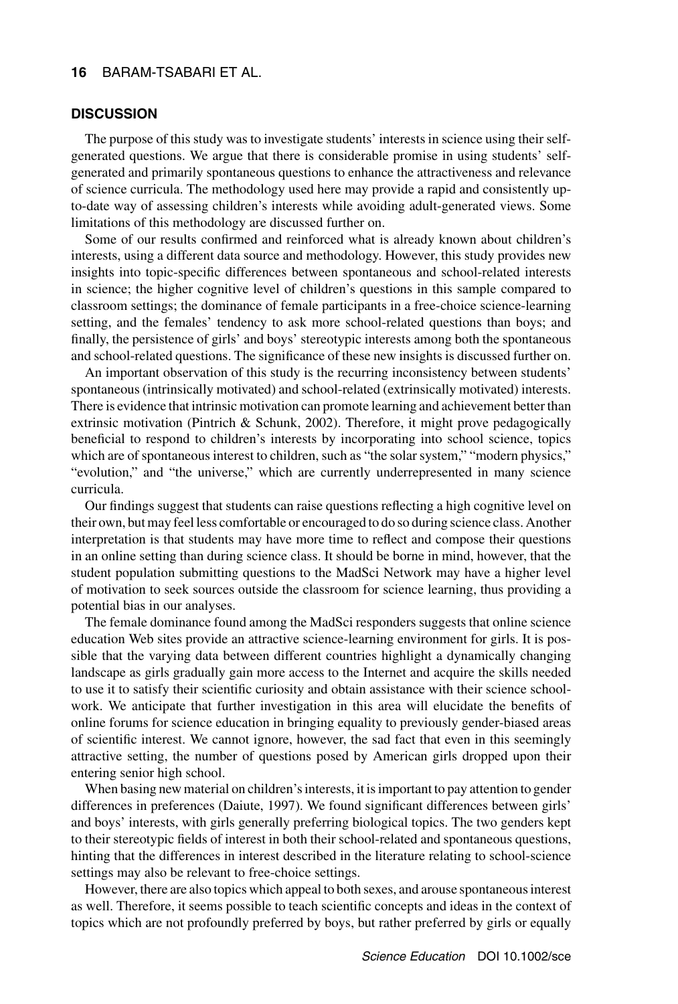#### **DISCUSSION**

The purpose of this study was to investigate students' interests in science using their selfgenerated questions. We argue that there is considerable promise in using students' selfgenerated and primarily spontaneous questions to enhance the attractiveness and relevance of science curricula. The methodology used here may provide a rapid and consistently upto-date way of assessing children's interests while avoiding adult-generated views. Some limitations of this methodology are discussed further on.

Some of our results confirmed and reinforced what is already known about children's interests, using a different data source and methodology. However, this study provides new insights into topic-specific differences between spontaneous and school-related interests in science; the higher cognitive level of children's questions in this sample compared to classroom settings; the dominance of female participants in a free-choice science-learning setting, and the females' tendency to ask more school-related questions than boys; and finally, the persistence of girls' and boys' stereotypic interests among both the spontaneous and school-related questions. The significance of these new insights is discussed further on.

An important observation of this study is the recurring inconsistency between students' spontaneous (intrinsically motivated) and school-related (extrinsically motivated) interests. There is evidence that intrinsic motivation can promote learning and achievement better than extrinsic motivation (Pintrich & Schunk, 2002). Therefore, it might prove pedagogically beneficial to respond to children's interests by incorporating into school science, topics which are of spontaneous interest to children, such as "the solar system," "modern physics," "evolution," and "the universe," which are currently underrepresented in many science curricula.

Our findings suggest that students can raise questions reflecting a high cognitive level on their own, but may feel less comfortable or encouraged to do so during science class. Another interpretation is that students may have more time to reflect and compose their questions in an online setting than during science class. It should be borne in mind, however, that the student population submitting questions to the MadSci Network may have a higher level of motivation to seek sources outside the classroom for science learning, thus providing a potential bias in our analyses.

The female dominance found among the MadSci responders suggests that online science education Web sites provide an attractive science-learning environment for girls. It is possible that the varying data between different countries highlight a dynamically changing landscape as girls gradually gain more access to the Internet and acquire the skills needed to use it to satisfy their scientific curiosity and obtain assistance with their science schoolwork. We anticipate that further investigation in this area will elucidate the benefits of online forums for science education in bringing equality to previously gender-biased areas of scientific interest. We cannot ignore, however, the sad fact that even in this seemingly attractive setting, the number of questions posed by American girls dropped upon their entering senior high school.

When basing new material on children's interests, it is important to pay attention to gender differences in preferences (Daiute, 1997). We found significant differences between girls' and boys' interests, with girls generally preferring biological topics. The two genders kept to their stereotypic fields of interest in both their school-related and spontaneous questions, hinting that the differences in interest described in the literature relating to school-science settings may also be relevant to free-choice settings.

However, there are also topics which appeal to both sexes, and arouse spontaneous interest as well. Therefore, it seems possible to teach scientific concepts and ideas in the context of topics which are not profoundly preferred by boys, but rather preferred by girls or equally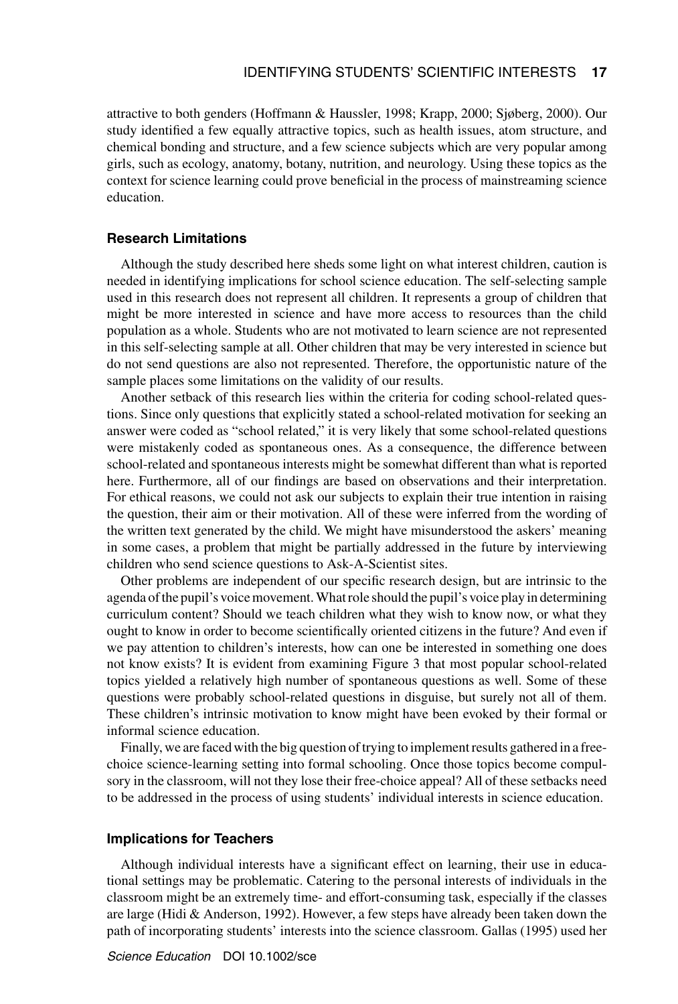attractive to both genders (Hoffmann & Haussler, 1998; Krapp, 2000; Sjøberg, 2000). Our study identified a few equally attractive topics, such as health issues, atom structure, and chemical bonding and structure, and a few science subjects which are very popular among girls, such as ecology, anatomy, botany, nutrition, and neurology. Using these topics as the context for science learning could prove beneficial in the process of mainstreaming science education.

### **Research Limitations**

Although the study described here sheds some light on what interest children, caution is needed in identifying implications for school science education. The self-selecting sample used in this research does not represent all children. It represents a group of children that might be more interested in science and have more access to resources than the child population as a whole. Students who are not motivated to learn science are not represented in this self-selecting sample at all. Other children that may be very interested in science but do not send questions are also not represented. Therefore, the opportunistic nature of the sample places some limitations on the validity of our results.

Another setback of this research lies within the criteria for coding school-related questions. Since only questions that explicitly stated a school-related motivation for seeking an answer were coded as "school related," it is very likely that some school-related questions were mistakenly coded as spontaneous ones. As a consequence, the difference between school-related and spontaneous interests might be somewhat different than what is reported here. Furthermore, all of our findings are based on observations and their interpretation. For ethical reasons, we could not ask our subjects to explain their true intention in raising the question, their aim or their motivation. All of these were inferred from the wording of the written text generated by the child. We might have misunderstood the askers' meaning in some cases, a problem that might be partially addressed in the future by interviewing children who send science questions to Ask-A-Scientist sites.

Other problems are independent of our specific research design, but are intrinsic to the agenda of the pupil's voice movement. What role should the pupil's voice play in determining curriculum content? Should we teach children what they wish to know now, or what they ought to know in order to become scientifically oriented citizens in the future? And even if we pay attention to children's interests, how can one be interested in something one does not know exists? It is evident from examining Figure 3 that most popular school-related topics yielded a relatively high number of spontaneous questions as well. Some of these questions were probably school-related questions in disguise, but surely not all of them. These children's intrinsic motivation to know might have been evoked by their formal or informal science education.

Finally, we are faced with the big question of trying to implement results gathered in a freechoice science-learning setting into formal schooling. Once those topics become compulsory in the classroom, will not they lose their free-choice appeal? All of these setbacks need to be addressed in the process of using students' individual interests in science education.

#### **Implications for Teachers**

Although individual interests have a significant effect on learning, their use in educational settings may be problematic. Catering to the personal interests of individuals in the classroom might be an extremely time- and effort-consuming task, especially if the classes are large (Hidi & Anderson, 1992). However, a few steps have already been taken down the path of incorporating students' interests into the science classroom. Gallas (1995) used her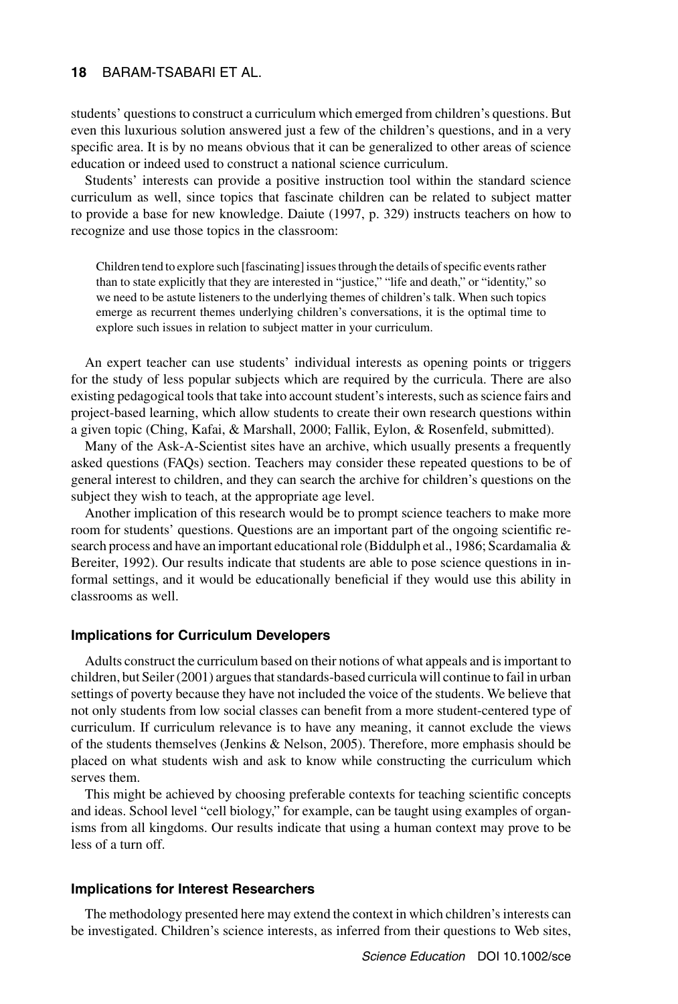students' questions to construct a curriculum which emerged from children's questions. But even this luxurious solution answered just a few of the children's questions, and in a very specific area. It is by no means obvious that it can be generalized to other areas of science education or indeed used to construct a national science curriculum.

Students' interests can provide a positive instruction tool within the standard science curriculum as well, since topics that fascinate children can be related to subject matter to provide a base for new knowledge. Daiute (1997, p. 329) instructs teachers on how to recognize and use those topics in the classroom:

Children tend to explore such [fascinating] issues through the details of specific events rather than to state explicitly that they are interested in "justice," "life and death," or "identity," so we need to be astute listeners to the underlying themes of children's talk. When such topics emerge as recurrent themes underlying children's conversations, it is the optimal time to explore such issues in relation to subject matter in your curriculum.

An expert teacher can use students' individual interests as opening points or triggers for the study of less popular subjects which are required by the curricula. There are also existing pedagogical tools that take into account student's interests, such as science fairs and project-based learning, which allow students to create their own research questions within a given topic (Ching, Kafai, & Marshall, 2000; Fallik, Eylon, & Rosenfeld, submitted).

Many of the Ask-A-Scientist sites have an archive, which usually presents a frequently asked questions (FAQs) section. Teachers may consider these repeated questions to be of general interest to children, and they can search the archive for children's questions on the subject they wish to teach, at the appropriate age level.

Another implication of this research would be to prompt science teachers to make more room for students' questions. Questions are an important part of the ongoing scientific research process and have an important educational role (Biddulph et al., 1986; Scardamalia & Bereiter, 1992). Our results indicate that students are able to pose science questions in informal settings, and it would be educationally beneficial if they would use this ability in classrooms as well.

#### **Implications for Curriculum Developers**

Adults construct the curriculum based on their notions of what appeals and is important to children, but Seiler (2001) argues that standards-based curricula will continue to fail in urban settings of poverty because they have not included the voice of the students. We believe that not only students from low social classes can benefit from a more student-centered type of curriculum. If curriculum relevance is to have any meaning, it cannot exclude the views of the students themselves (Jenkins & Nelson, 2005). Therefore, more emphasis should be placed on what students wish and ask to know while constructing the curriculum which serves them.

This might be achieved by choosing preferable contexts for teaching scientific concepts and ideas. School level "cell biology," for example, can be taught using examples of organisms from all kingdoms. Our results indicate that using a human context may prove to be less of a turn off.

### **Implications for Interest Researchers**

The methodology presented here may extend the context in which children's interests can be investigated. Children's science interests, as inferred from their questions to Web sites,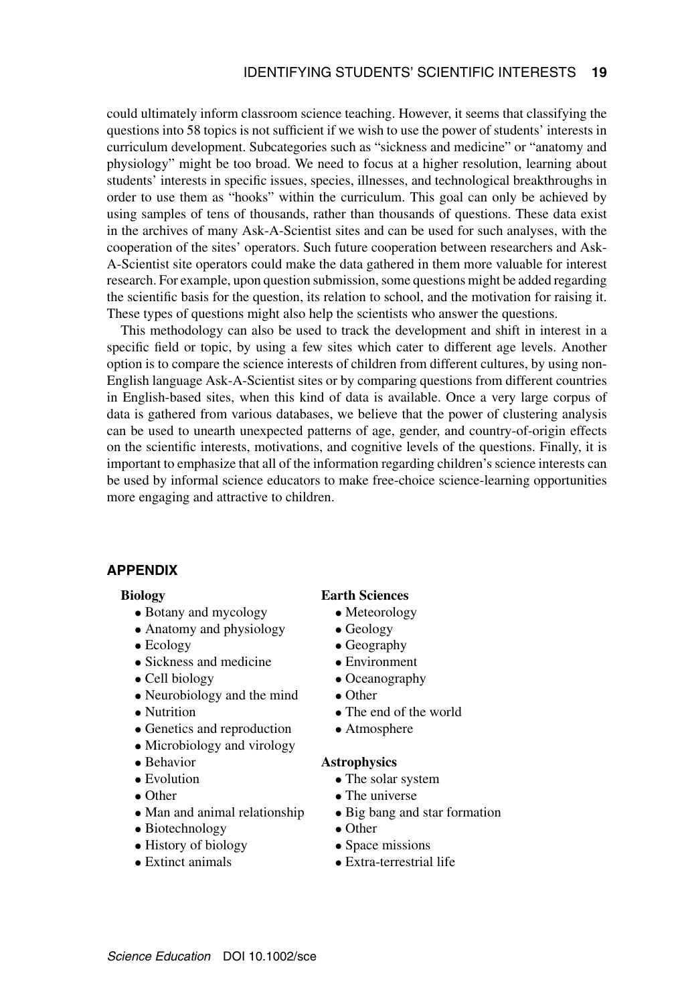could ultimately inform classroom science teaching. However, it seems that classifying the questions into 58 topics is not sufficient if we wish to use the power of students' interests in curriculum development. Subcategories such as "sickness and medicine" or "anatomy and physiology" might be too broad. We need to focus at a higher resolution, learning about students' interests in specific issues, species, illnesses, and technological breakthroughs in order to use them as "hooks" within the curriculum. This goal can only be achieved by using samples of tens of thousands, rather than thousands of questions. These data exist in the archives of many Ask-A-Scientist sites and can be used for such analyses, with the cooperation of the sites' operators. Such future cooperation between researchers and Ask-A-Scientist site operators could make the data gathered in them more valuable for interest research. For example, upon question submission, some questions might be added regarding the scientific basis for the question, its relation to school, and the motivation for raising it. These types of questions might also help the scientists who answer the questions.

This methodology can also be used to track the development and shift in interest in a specific field or topic, by using a few sites which cater to different age levels. Another option is to compare the science interests of children from different cultures, by using non-English language Ask-A-Scientist sites or by comparing questions from different countries in English-based sites, when this kind of data is available. Once a very large corpus of data is gathered from various databases, we believe that the power of clustering analysis can be used to unearth unexpected patterns of age, gender, and country-of-origin effects on the scientific interests, motivations, and cognitive levels of the questions. Finally, it is important to emphasize that all of the information regarding children's science interests can be used by informal science educators to make free-choice science-learning opportunities more engaging and attractive to children.

### **APPENDIX**

- Botany and mycology Meteorology<br>• Anatomy and physiology Geology
- Anatomy and physiology<br>• Ecology
- 
- Sickness and medicine<br>• Cell biology
- 
- Neurobiology and the mind<br>• Nutrition
- 
- $\bullet$  Genetics and reproduction
- Microbiology and virology<br>• Behavior
- 
- 
- 
- Man and animal relationship Big bang bang and starting starting in the star formation of Big band and Superior Start and Superior Start and Superior Start and Superior Start and Superior Start and Superior Start and Su
- Biotechnology Other
- History of biology<br>• Extinct animals
- 

#### **Biology Earth Sciences**

- 
- 
- 
- Geography<br>• Environment
- Oceanography<br>• Other
- 
- The end of the world<br>• Atmosphere
- 

# • Behavior **Astrophysics**<br>• Evolution **•** The solar

- Evolution The solar system<br>• Other The universe
	-
	- The universe<br>• Big bang and star formation
	-
	-
	- $\bullet$  Extra-terrestrial life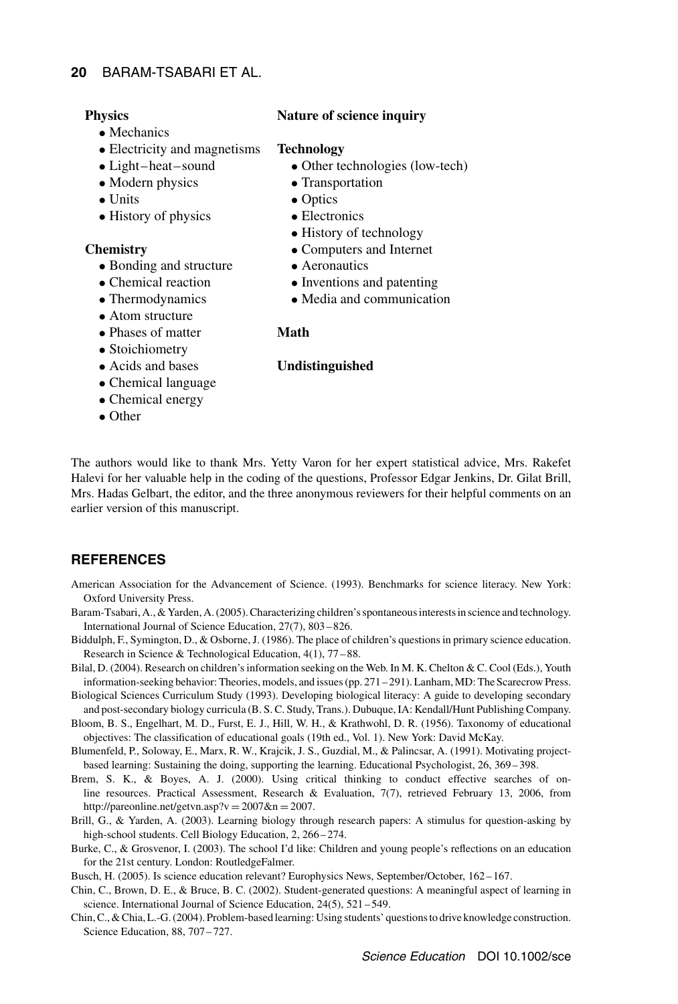- Mechanics
- Electricity and magnetisms **Technology**<br>• Light-heat-sound Other te
- 
- Modern physics<br>• Units
- 
- History of physics

- Bonding and structure<br>• Chemical reaction
- 
- 
- Atom structure
- Phases of matter **Math**
- Stoichiometry
- 
- Chemical language
- Chemical energy
- Other

#### **Physics** Nature of science inquiry

- Other technologies (low-tech)<br>• Transportation
- 
- 
- Optics<br>• Electronics
- History of technology
- **Chemistry** Computers and Internet<br>• Bonding and structure Aeronautics
	-
	- Chemical reaction Inventions and patenting<br>• Thermodynamics Media and communication
		- $\bullet$  Media and communication

#### • Acids and bases **Undistinguished**

The authors would like to thank Mrs. Yetty Varon for her expert statistical advice, Mrs. Rakefet Halevi for her valuable help in the coding of the questions, Professor Edgar Jenkins, Dr. Gilat Brill, Mrs. Hadas Gelbart, the editor, and the three anonymous reviewers for their helpful comments on an earlier version of this manuscript.

# **REFERENCES**

American Association for the Advancement of Science. (1993). Benchmarks for science literacy. New York: Oxford University Press.

Baram-Tsabari, A., & Yarden, A. (2005). Characterizing children's spontaneous interests in science and technology. International Journal of Science Education, 27(7), 803– 826.

Biddulph, F., Symington, D., & Osborne, J. (1986). The place of children's questions in primary science education. Research in Science & Technological Education, 4(1), 77 – 88.

Bilal, D. (2004). Research on children's information seeking on the Web. In M. K. Chelton & C. Cool (Eds.), Youth information-seeking behavior: Theories, models, and issues (pp. 271– 291). Lanham, MD: The Scarecrow Press.

Biological Sciences Curriculum Study (1993). Developing biological literacy: A guide to developing secondary and post-secondary biology curricula (B. S. C. Study, Trans.). Dubuque, IA: Kendall/Hunt Publishing Company.

Bloom, B. S., Engelhart, M. D., Furst, E. J., Hill, W. H., & Krathwohl, D. R. (1956). Taxonomy of educational objectives: The classification of educational goals (19th ed., Vol. 1). New York: David McKay.

Blumenfeld, P., Soloway, E., Marx, R. W., Krajcik, J. S., Guzdial, M., & Palincsar, A. (1991). Motivating projectbased learning: Sustaining the doing, supporting the learning. Educational Psychologist, 26, 369– 398.

- Brem, S. K., & Boyes, A. J. (2000). Using critical thinking to conduct effective searches of online resources. Practical Assessment, Research & Evaluation, 7(7), retrieved February 13, 2006, from http://pareonline.net/getvn.asp?v =  $2007& n = 2007$ .
- Brill, G., & Yarden, A. (2003). Learning biology through research papers: A stimulus for question-asking by high-school students. Cell Biology Education, 2, 266-274.

Burke, C., & Grosvenor, I. (2003). The school I'd like: Children and young people's reflections on an education for the 21st century. London: RoutledgeFalmer.

Busch, H. (2005). Is science education relevant? Europhysics News, September/October, 162– 167.

- Chin, C., Brown, D. E., & Bruce, B. C. (2002). Student-generated questions: A meaningful aspect of learning in science. International Journal of Science Education, 24(5), 521–549.
- Chin, C., & Chia, L.-G. (2004). Problem-based learning: Using students' questions to drive knowledge construction. Science Education, 88, 707-727.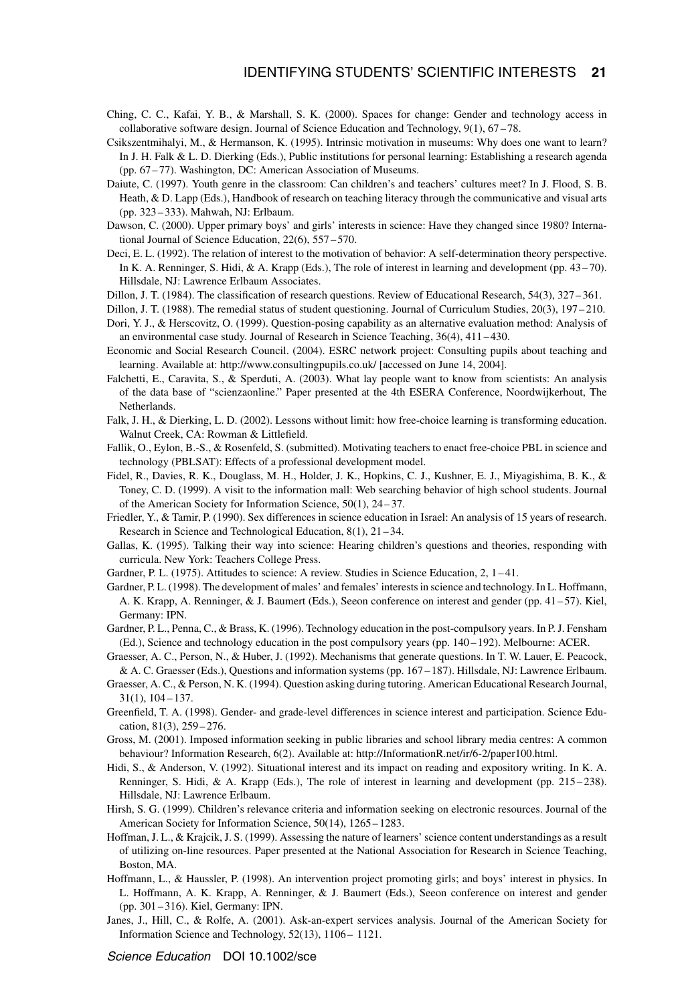- Ching, C. C., Kafai, Y. B., & Marshall, S. K. (2000). Spaces for change: Gender and technology access in collaborative software design. Journal of Science Education and Technology,  $9(1)$ ,  $67-78$ .
- Csikszentmihalyi, M., & Hermanson, K. (1995). Intrinsic motivation in museums: Why does one want to learn? In J. H. Falk & L. D. Dierking (Eds.), Public institutions for personal learning: Establishing a research agenda (pp. 67 – 77). Washington, DC: American Association of Museums.
- Daiute, C. (1997). Youth genre in the classroom: Can children's and teachers' cultures meet? In J. Flood, S. B. Heath, & D. Lapp (Eds.), Handbook of research on teaching literacy through the communicative and visual arts (pp. 323– 333). Mahwah, NJ: Erlbaum.
- Dawson, C. (2000). Upper primary boys' and girls' interests in science: Have they changed since 1980? International Journal of Science Education, 22(6), 557– 570.
- Deci, E. L. (1992). The relation of interest to the motivation of behavior: A self-determination theory perspective. In K. A. Renninger, S. Hidi, & A. Krapp (Eds.), The role of interest in learning and development (pp. 43–70). Hillsdale, NJ: Lawrence Erlbaum Associates.
- Dillon, J. T. (1984). The classification of research questions. Review of Educational Research, 54(3), 327– 361.
- Dillon, J. T. (1988). The remedial status of student questioning. Journal of Curriculum Studies, 20(3), 197-210. Dori, Y. J., & Herscovitz, O. (1999). Question-posing capability as an alternative evaluation method: Analysis of
- an environmental case study. Journal of Research in Science Teaching, 36(4), 411– 430. Economic and Social Research Council. (2004). ESRC network project: Consulting pupils about teaching and learning. Available at: http://www.consultingpupils.co.uk/ [accessed on June 14, 2004].
- Falchetti, E., Caravita, S., & Sperduti, A. (2003). What lay people want to know from scientists: An analysis of the data base of "scienzaonline." Paper presented at the 4th ESERA Conference, Noordwijkerhout, The Netherlands.
- Falk, J. H., & Dierking, L. D. (2002). Lessons without limit: how free-choice learning is transforming education. Walnut Creek, CA: Rowman & Littlefield.
- Fallik, O., Eylon, B.-S., & Rosenfeld, S. (submitted). Motivating teachers to enact free-choice PBL in science and technology (PBLSAT): Effects of a professional development model.
- Fidel, R., Davies, R. K., Douglass, M. H., Holder, J. K., Hopkins, C. J., Kushner, E. J., Miyagishima, B. K., & Toney, C. D. (1999). A visit to the information mall: Web searching behavior of high school students. Journal of the American Society for Information Science, 50(1), 24 – 37.
- Friedler, Y., & Tamir, P. (1990). Sex differences in science education in Israel: An analysis of 15 years of research. Research in Science and Technological Education, 8(1), 21 – 34.
- Gallas, K. (1995). Talking their way into science: Hearing children's questions and theories, responding with curricula. New York: Teachers College Press.
- Gardner, P. L. (1975). Attitudes to science: A review. Studies in Science Education, 2, 1 41.
- Gardner, P. L. (1998). The development of males' and females' interests in science and technology. In L. Hoffmann, A. K. Krapp, A. Renninger, & J. Baumert (Eds.), Seeon conference on interest and gender (pp. 41 – 57). Kiel, Germany: IPN.
- Gardner, P. L., Penna, C., & Brass, K. (1996). Technology education in the post-compulsory years. In P. J. Fensham (Ed.), Science and technology education in the post compulsory years (pp. 140– 192). Melbourne: ACER.
- Graesser, A. C., Person, N., & Huber, J. (1992). Mechanisms that generate questions. In T. W. Lauer, E. Peacock, & A. C. Graesser (Eds.), Questions and information systems (pp. 167– 187). Hillsdale, NJ: Lawrence Erlbaum.
- Graesser, A. C., & Person, N. K. (1994). Question asking during tutoring. American Educational Research Journal, 31(1), 104– 137.
- Greenfield, T. A. (1998). Gender- and grade-level differences in science interest and participation. Science Education, 81(3), 259-276.
- Gross, M. (2001). Imposed information seeking in public libraries and school library media centres: A common behaviour? Information Research, 6(2). Available at: http://InformationR.net/ir/6-2/paper100.html.
- Hidi, S., & Anderson, V. (1992). Situational interest and its impact on reading and expository writing. In K. A. Renninger, S. Hidi, & A. Krapp (Eds.), The role of interest in learning and development (pp. 215–238). Hillsdale, NJ: Lawrence Erlbaum.
- Hirsh, S. G. (1999). Children's relevance criteria and information seeking on electronic resources. Journal of the American Society for Information Science, 50(14), 1265–1283.
- Hoffman, J. L., & Krajcik, J. S. (1999). Assessing the nature of learners' science content understandings as a result of utilizing on-line resources. Paper presented at the National Association for Research in Science Teaching, Boston, MA.
- Hoffmann, L., & Haussler, P. (1998). An intervention project promoting girls; and boys' interest in physics. In L. Hoffmann, A. K. Krapp, A. Renninger, & J. Baumert (Eds.), Seeon conference on interest and gender (pp. 301– 316). Kiel, Germany: IPN.
- Janes, J., Hill, C., & Rolfe, A. (2001). Ask-an-expert services analysis. Journal of the American Society for Information Science and Technology, 52(13), 1106– 1121.

*Science Education* DOI 10.1002/sce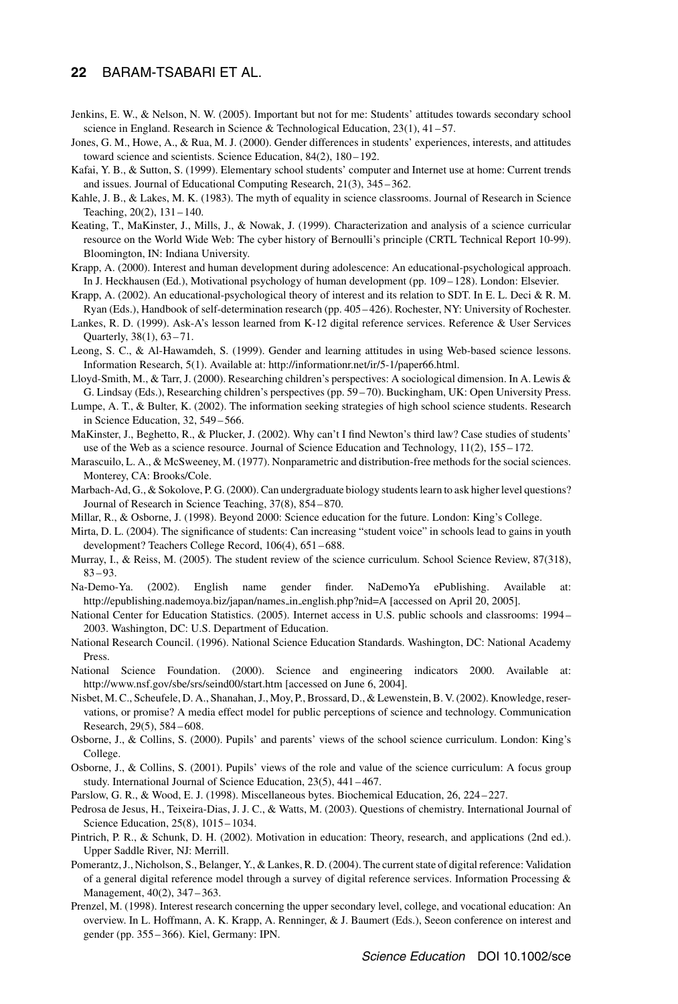- Jenkins, E. W., & Nelson, N. W. (2005). Important but not for me: Students' attitudes towards secondary school science in England. Research in Science & Technological Education, 23(1), 41–57.
- Jones, G. M., Howe, A., & Rua, M. J. (2000). Gender differences in students' experiences, interests, and attitudes toward science and scientists. Science Education, 84(2), 180– 192.
- Kafai, Y. B., & Sutton, S. (1999). Elementary school students' computer and Internet use at home: Current trends and issues. Journal of Educational Computing Research, 21(3), 345– 362.
- Kahle, J. B., & Lakes, M. K. (1983). The myth of equality in science classrooms. Journal of Research in Science Teaching, 20(2), 131– 140.
- Keating, T., MaKinster, J., Mills, J., & Nowak, J. (1999). Characterization and analysis of a science curricular resource on the World Wide Web: The cyber history of Bernoulli's principle (CRTL Technical Report 10-99). Bloomington, IN: Indiana University.
- Krapp, A. (2000). Interest and human development during adolescence: An educational-psychological approach. In J. Heckhausen (Ed.), Motivational psychology of human development (pp. 109– 128). London: Elsevier.
- Krapp, A. (2002). An educational-psychological theory of interest and its relation to SDT. In E. L. Deci & R. M. Ryan (Eds.), Handbook of self-determination research (pp. 405– 426). Rochester, NY: University of Rochester.
- Lankes, R. D. (1999). Ask-A's lesson learned from K-12 digital reference services. Reference & User Services Quarterly, 38(1), 63 – 71.
- Leong, S. C., & Al-Hawamdeh, S. (1999). Gender and learning attitudes in using Web-based science lessons. Information Research, 5(1). Available at: http://informationr.net/ir/5-1/paper66.html.
- Lloyd-Smith, M., & Tarr, J. (2000). Researching children's perspectives: A sociological dimension. In A. Lewis & G. Lindsay (Eds.), Researching children's perspectives (pp. 59 – 70). Buckingham, UK: Open University Press.
- Lumpe, A. T., & Bulter, K. (2002). The information seeking strategies of high school science students. Research in Science Education, 32, 549– 566.
- MaKinster, J., Beghetto, R., & Plucker, J. (2002). Why can't I find Newton's third law? Case studies of students' use of the Web as a science resource. Journal of Science Education and Technology, 11(2), 155– 172.
- Marascuilo, L. A., & McSweeney, M. (1977). Nonparametric and distribution-free methods for the social sciences. Monterey, CA: Brooks/Cole.
- Marbach-Ad, G., & Sokolove, P. G. (2000). Can undergraduate biology students learn to ask higher level questions? Journal of Research in Science Teaching, 37(8), 854– 870.
- Millar, R., & Osborne, J. (1998). Beyond 2000: Science education for the future. London: King's College.
- Mirta, D. L. (2004). The significance of students: Can increasing "student voice" in schools lead to gains in youth development? Teachers College Record, 106(4), 651–688.
- Murray, I., & Reiss, M. (2005). The student review of the science curriculum. School Science Review, 87(318), 83 – 93.
- Na-Demo-Ya. (2002). English name gender finder. NaDemoYa ePublishing. Available at: http://epublishing.nademoya.biz/japan/names in english.php?nid=A [accessed on April 20, 2005].
- National Center for Education Statistics. (2005). Internet access in U.S. public schools and classrooms: 1994– 2003. Washington, DC: U.S. Department of Education.
- National Research Council. (1996). National Science Education Standards. Washington, DC: National Academy Press.
- National Science Foundation. (2000). Science and engineering indicators 2000. Available at: http://www.nsf.gov/sbe/srs/seind00/start.htm [accessed on June 6, 2004].
- Nisbet, M. C., Scheufele, D. A., Shanahan, J., Moy, P., Brossard, D., & Lewenstein, B. V. (2002). Knowledge, reservations, or promise? A media effect model for public perceptions of science and technology. Communication Research, 29(5), 584– 608.
- Osborne, J., & Collins, S. (2000). Pupils' and parents' views of the school science curriculum. London: King's College.
- Osborne, J., & Collins, S. (2001). Pupils' views of the role and value of the science curriculum: A focus group study. International Journal of Science Education, 23(5), 441– 467.
- Parslow, G. R., & Wood, E. J. (1998). Miscellaneous bytes. Biochemical Education, 26, 224–227.
- Pedrosa de Jesus, H., Teixeira-Dias, J. J. C., & Watts, M. (2003). Questions of chemistry. International Journal of Science Education, 25(8), 1015– 1034.
- Pintrich, P. R., & Schunk, D. H. (2002). Motivation in education: Theory, research, and applications (2nd ed.). Upper Saddle River, NJ: Merrill.
- Pomerantz, J., Nicholson, S., Belanger, Y., & Lankes, R. D. (2004). The current state of digital reference: Validation of a general digital reference model through a survey of digital reference services. Information Processing & Management, 40(2), 347– 363.
- Prenzel, M. (1998). Interest research concerning the upper secondary level, college, and vocational education: An overview. In L. Hoffmann, A. K. Krapp, A. Renninger, & J. Baumert (Eds.), Seeon conference on interest and gender (pp. 355– 366). Kiel, Germany: IPN.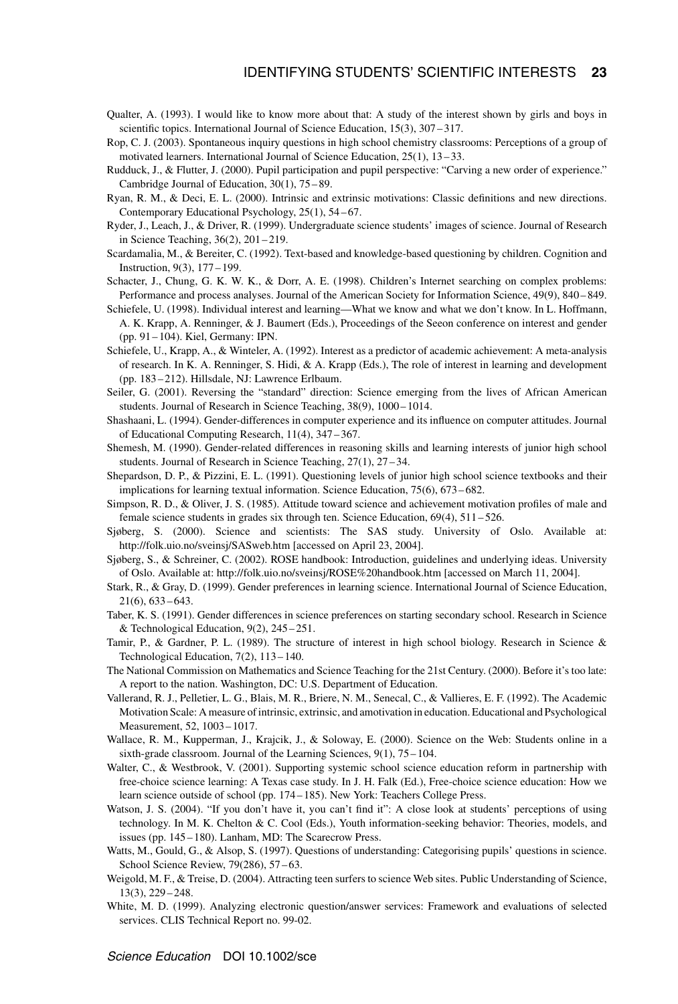- Qualter, A. (1993). I would like to know more about that: A study of the interest shown by girls and boys in scientific topics. International Journal of Science Education, 15(3), 307–317.
- Rop, C. J. (2003). Spontaneous inquiry questions in high school chemistry classrooms: Perceptions of a group of motivated learners. International Journal of Science Education, 25(1), 13 – 33.
- Rudduck, J., & Flutter, J. (2000). Pupil participation and pupil perspective: "Carving a new order of experience." Cambridge Journal of Education, 30(1), 75 – 89.
- Ryan, R. M., & Deci, E. L. (2000). Intrinsic and extrinsic motivations: Classic definitions and new directions. Contemporary Educational Psychology, 25(1), 54-67.
- Ryder, J., Leach, J., & Driver, R. (1999). Undergraduate science students' images of science. Journal of Research in Science Teaching,  $36(2)$ ,  $201-219$ .
- Scardamalia, M., & Bereiter, C. (1992). Text-based and knowledge-based questioning by children. Cognition and Instruction, 9(3), 177– 199.
- Schacter, J., Chung, G. K. W. K., & Dorr, A. E. (1998). Children's Internet searching on complex problems: Performance and process analyses. Journal of the American Society for Information Science, 49(9), 840– 849.
- Schiefele, U. (1998). Individual interest and learning—What we know and what we don't know. In L. Hoffmann, A. K. Krapp, A. Renninger, & J. Baumert (Eds.), Proceedings of the Seeon conference on interest and gender (pp. 91 – 104). Kiel, Germany: IPN.
- Schiefele, U., Krapp, A., & Winteler, A. (1992). Interest as a predictor of academic achievement: A meta-analysis of research. In K. A. Renninger, S. Hidi, & A. Krapp (Eds.), The role of interest in learning and development (pp. 183– 212). Hillsdale, NJ: Lawrence Erlbaum.
- Seiler, G. (2001). Reversing the "standard" direction: Science emerging from the lives of African American students. Journal of Research in Science Teaching, 38(9), 1000– 1014.
- Shashaani, L. (1994). Gender-differences in computer experience and its influence on computer attitudes. Journal of Educational Computing Research, 11(4), 347– 367.
- Shemesh, M. (1990). Gender-related differences in reasoning skills and learning interests of junior high school students. Journal of Research in Science Teaching, 27(1), 27 – 34.
- Shepardson, D. P., & Pizzini, E. L. (1991). Questioning levels of junior high school science textbooks and their implications for learning textual information. Science Education, 75(6), 673– 682.
- Simpson, R. D., & Oliver, J. S. (1985). Attitude toward science and achievement motivation profiles of male and female science students in grades six through ten. Science Education, 69(4), 511-526.
- Sjøberg, S. (2000). Science and scientists: The SAS study. University of Oslo. Available at: http://folk.uio.no/sveinsj/SASweb.htm [accessed on April 23, 2004].
- Sjøberg, S., & Schreiner, C. (2002). ROSE handbook: Introduction, guidelines and underlying ideas. University of Oslo. Available at: http://folk.uio.no/sveinsj/ROSE%20handbook.htm [accessed on March 11, 2004].
- Stark, R., & Gray, D. (1999). Gender preferences in learning science. International Journal of Science Education,  $21(6)$ , 633-643.
- Taber, K. S. (1991). Gender differences in science preferences on starting secondary school. Research in Science & Technological Education, 9(2), 245– 251.
- Tamir, P., & Gardner, P. L. (1989). The structure of interest in high school biology. Research in Science & Technological Education, 7(2), 113– 140.
- The National Commission on Mathematics and Science Teaching for the 21st Century. (2000). Before it's too late: A report to the nation. Washington, DC: U.S. Department of Education.
- Vallerand, R. J., Pelletier, L. G., Blais, M. R., Briere, N. M., Senecal, C., & Vallieres, E. F. (1992). The Academic Motivation Scale: A measure of intrinsic, extrinsic, and amotivation in education. Educational and Psychological Measurement, 52, 1003– 1017.
- Wallace, R. M., Kupperman, J., Krajcik, J., & Soloway, E. (2000). Science on the Web: Students online in a sixth-grade classroom. Journal of the Learning Sciences, 9(1), 75 – 104.
- Walter, C., & Westbrook, V. (2001). Supporting systemic school science education reform in partnership with free-choice science learning: A Texas case study. In J. H. Falk (Ed.), Free-choice science education: How we learn science outside of school (pp. 174– 185). New York: Teachers College Press.
- Watson, J. S. (2004). "If you don't have it, you can't find it": A close look at students' perceptions of using technology. In M. K. Chelton & C. Cool (Eds.), Youth information-seeking behavior: Theories, models, and issues (pp. 145– 180). Lanham, MD: The Scarecrow Press.
- Watts, M., Gould, G., & Alsop, S. (1997). Questions of understanding: Categorising pupils' questions in science. School Science Review, 79(286), 57 – 63.
- Weigold, M. F., & Treise, D. (2004). Attracting teen surfers to science Web sites. Public Understanding of Science, 13(3), 229– 248.
- White, M. D. (1999). Analyzing electronic question/answer services: Framework and evaluations of selected services. CLIS Technical Report no. 99-02.